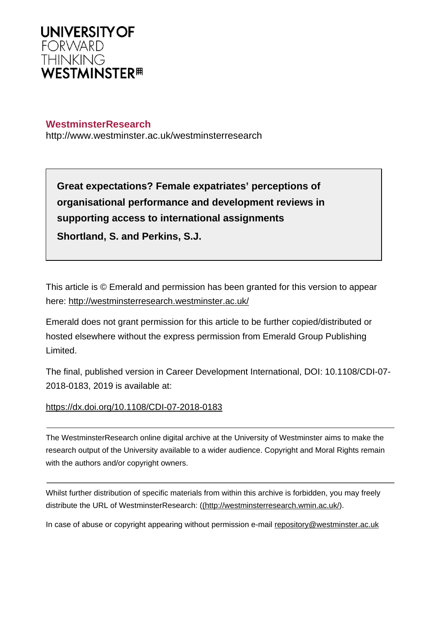

## **WestminsterResearch**

http://www.westminster.ac.uk/westminsterresearch

**Great expectations? Female expatriates' perceptions of organisational performance and development reviews in supporting access to international assignments Shortland, S. and Perkins, S.J.**

This article is © Emerald and permission has been granted for this version to appear here: <http://westminsterresearch.westminster.ac.uk/>

Emerald does not grant permission for this article to be further copied/distributed or hosted elsewhere without the express permission from Emerald Group Publishing Limited.

The final, published version in Career Development International, DOI: 10.1108/CDI-07- 2018-0183, 2019 is available at:

<https://dx.doi.org/10.1108/CDI-07-2018-0183>

The WestminsterResearch online digital archive at the University of Westminster aims to make the research output of the University available to a wider audience. Copyright and Moral Rights remain with the authors and/or copyright owners.

Whilst further distribution of specific materials from within this archive is forbidden, you may freely distribute the URL of WestminsterResearch: [\(\(http://westminsterresearch.wmin.ac.uk/](http://westminsterresearch.wmin.ac.uk/)).

In case of abuse or copyright appearing without permission e-mail <repository@westminster.ac.uk>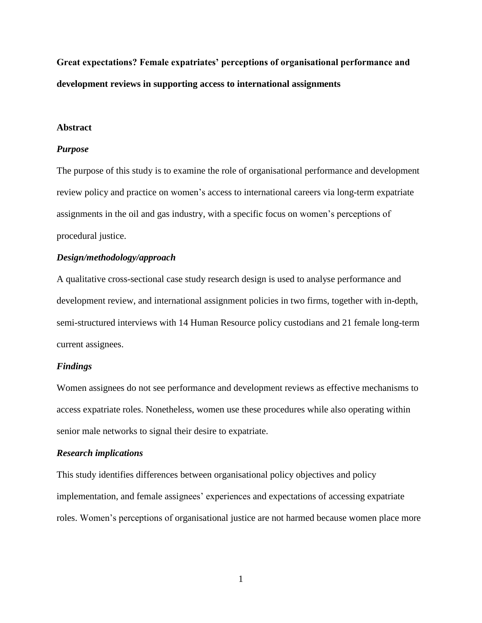**Great expectations? Female expatriates' perceptions of organisational performance and development reviews in supporting access to international assignments** 

#### **Abstract**

#### *Purpose*

The purpose of this study is to examine the role of organisational performance and development review policy and practice on women's access to international careers via long-term expatriate assignments in the oil and gas industry, with a specific focus on women's perceptions of procedural justice.

#### *Design/methodology/approach*

A qualitative cross-sectional case study research design is used to analyse performance and development review, and international assignment policies in two firms, together with in-depth, semi-structured interviews with 14 Human Resource policy custodians and 21 female long-term current assignees.

#### *Findings*

Women assignees do not see performance and development reviews as effective mechanisms to access expatriate roles. Nonetheless, women use these procedures while also operating within senior male networks to signal their desire to expatriate.

#### *Research implications*

This study identifies differences between organisational policy objectives and policy implementation, and female assignees' experiences and expectations of accessing expatriate roles. Women's perceptions of organisational justice are not harmed because women place more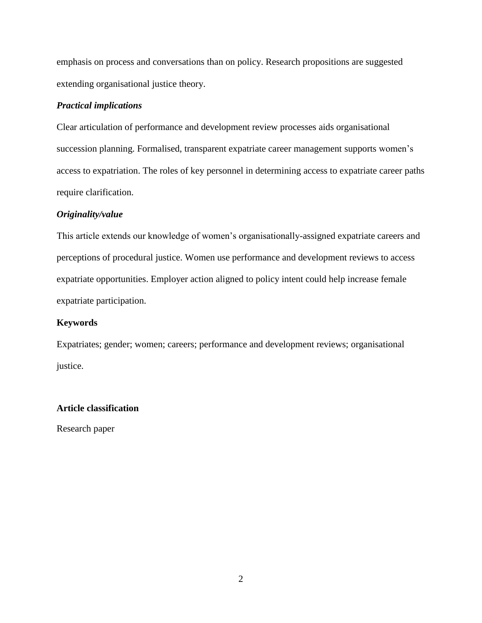emphasis on process and conversations than on policy. Research propositions are suggested extending organisational justice theory.

### *Practical implications*

Clear articulation of performance and development review processes aids organisational succession planning. Formalised, transparent expatriate career management supports women's access to expatriation. The roles of key personnel in determining access to expatriate career paths require clarification.

## *Originality/value*

This article extends our knowledge of women's organisationally-assigned expatriate careers and perceptions of procedural justice. Women use performance and development reviews to access expatriate opportunities. Employer action aligned to policy intent could help increase female expatriate participation.

## **Keywords**

Expatriates; gender; women; careers; performance and development reviews; organisational justice.

## **Article classification**

Research paper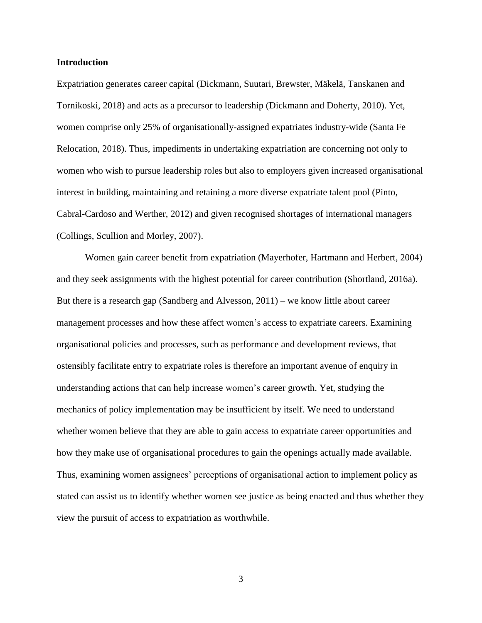#### **Introduction**

Expatriation generates career capital (Dickmann, Suutari, Brewster, Mäkelä, Tanskanen and Tornikoski, 2018) and acts as a precursor to leadership (Dickmann and Doherty, 2010). Yet, women comprise only 25% of organisationally-assigned expatriates industry-wide (Santa Fe Relocation, 2018). Thus, impediments in undertaking expatriation are concerning not only to women who wish to pursue leadership roles but also to employers given increased organisational interest in building, maintaining and retaining a more diverse expatriate talent pool (Pinto, Cabral-Cardoso and Werther, 2012) and given recognised shortages of international managers (Collings, Scullion and Morley, 2007).

Women gain career benefit from expatriation (Mayerhofer, Hartmann and Herbert, 2004) and they seek assignments with the highest potential for career contribution (Shortland, 2016a). But there is a research gap (Sandberg and Alvesson, 2011) – we know little about career management processes and how these affect women's access to expatriate careers. Examining organisational policies and processes, such as performance and development reviews, that ostensibly facilitate entry to expatriate roles is therefore an important avenue of enquiry in understanding actions that can help increase women's career growth. Yet, studying the mechanics of policy implementation may be insufficient by itself. We need to understand whether women believe that they are able to gain access to expatriate career opportunities and how they make use of organisational procedures to gain the openings actually made available. Thus, examining women assignees' perceptions of organisational action to implement policy as stated can assist us to identify whether women see justice as being enacted and thus whether they view the pursuit of access to expatriation as worthwhile.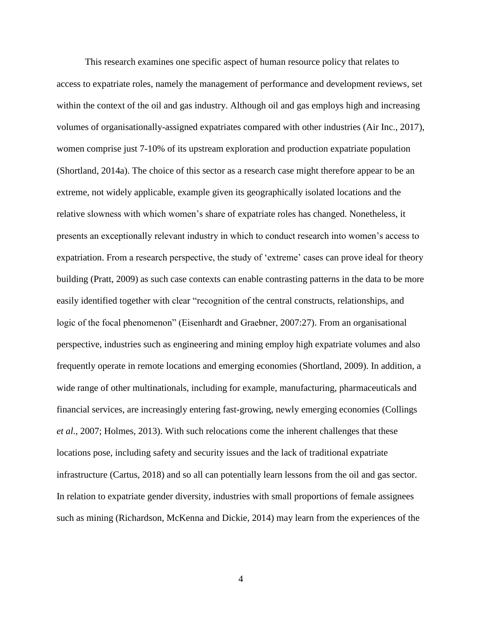This research examines one specific aspect of human resource policy that relates to access to expatriate roles, namely the management of performance and development reviews, set within the context of the oil and gas industry. Although oil and gas employs high and increasing volumes of organisationally-assigned expatriates compared with other industries (Air Inc., 2017), women comprise just 7-10% of its upstream exploration and production expatriate population (Shortland, 2014a). The choice of this sector as a research case might therefore appear to be an extreme, not widely applicable, example given its geographically isolated locations and the relative slowness with which women's share of expatriate roles has changed. Nonetheless, it presents an exceptionally relevant industry in which to conduct research into women's access to expatriation. From a research perspective, the study of 'extreme' cases can prove ideal for theory building (Pratt, 2009) as such case contexts can enable contrasting patterns in the data to be more easily identified together with clear "recognition of the central constructs, relationships, and logic of the focal phenomenon" (Eisenhardt and Graebner, 2007:27). From an organisational perspective, industries such as engineering and mining employ high expatriate volumes and also frequently operate in remote locations and emerging economies (Shortland, 2009). In addition, a wide range of other multinationals, including for example, manufacturing, pharmaceuticals and financial services, are increasingly entering fast-growing, newly emerging economies (Collings *et al*., 2007; Holmes, 2013). With such relocations come the inherent challenges that these locations pose, including safety and security issues and the lack of traditional expatriate infrastructure (Cartus, 2018) and so all can potentially learn lessons from the oil and gas sector. In relation to expatriate gender diversity, industries with small proportions of female assignees such as mining (Richardson, McKenna and Dickie, 2014) may learn from the experiences of the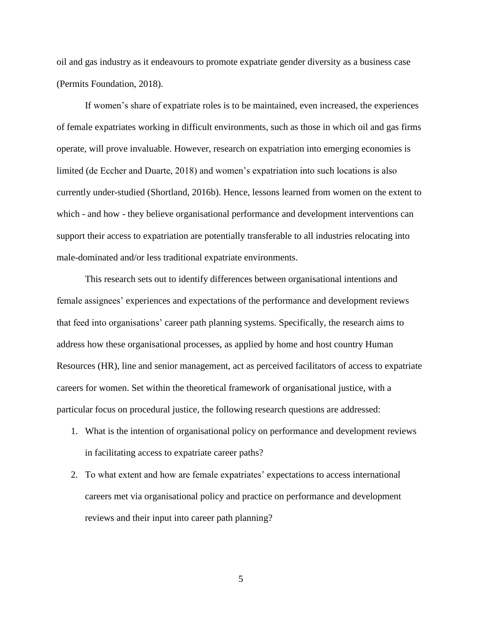oil and gas industry as it endeavours to promote expatriate gender diversity as a business case (Permits Foundation, 2018).

If women's share of expatriate roles is to be maintained, even increased, the experiences of female expatriates working in difficult environments, such as those in which oil and gas firms operate, will prove invaluable. However, research on expatriation into emerging economies is limited (de Eccher and Duarte, 2018) and women's expatriation into such locations is also currently under-studied (Shortland, 2016b). Hence, lessons learned from women on the extent to which - and how - they believe organisational performance and development interventions can support their access to expatriation are potentially transferable to all industries relocating into male-dominated and/or less traditional expatriate environments.

This research sets out to identify differences between organisational intentions and female assignees' experiences and expectations of the performance and development reviews that feed into organisations' career path planning systems. Specifically, the research aims to address how these organisational processes, as applied by home and host country Human Resources (HR), line and senior management, act as perceived facilitators of access to expatriate careers for women. Set within the theoretical framework of organisational justice, with a particular focus on procedural justice, the following research questions are addressed:

- 1. What is the intention of organisational policy on performance and development reviews in facilitating access to expatriate career paths?
- 2. To what extent and how are female expatriates' expectations to access international careers met via organisational policy and practice on performance and development reviews and their input into career path planning?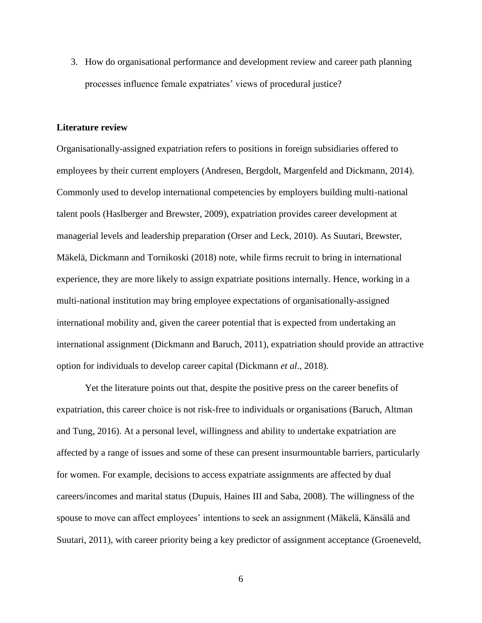3. How do organisational performance and development review and career path planning processes influence female expatriates' views of procedural justice?

#### **Literature review**

Organisationally-assigned expatriation refers to positions in foreign subsidiaries offered to employees by their current employers (Andresen, Bergdolt, Margenfeld and Dickmann, 2014). Commonly used to develop international competencies by employers building multi-national talent pools (Haslberger and Brewster, 2009), expatriation provides career development at managerial levels and leadership preparation (Orser and Leck, 2010). As Suutari, Brewster, Mäkelä, Dickmann and Tornikoski (2018) note, while firms recruit to bring in international experience, they are more likely to assign expatriate positions internally. Hence, working in a multi-national institution may bring employee expectations of organisationally-assigned international mobility and, given the career potential that is expected from undertaking an international assignment (Dickmann and Baruch, 2011), expatriation should provide an attractive option for individuals to develop career capital (Dickmann *et al*., 2018).

Yet the literature points out that, despite the positive press on the career benefits of expatriation, this career choice is not risk-free to individuals or organisations (Baruch, Altman and Tung, 2016). At a personal level, willingness and ability to undertake expatriation are affected by a range of issues and some of these can present insurmountable barriers, particularly for women. For example, decisions to access expatriate assignments are affected by dual careers/incomes and marital status (Dupuis, Haines III and Saba, 2008). The willingness of the spouse to move can affect employees' intentions to seek an assignment (Mäkelä, Känsälä and Suutari, 2011), with career priority being a key predictor of assignment acceptance (Groeneveld,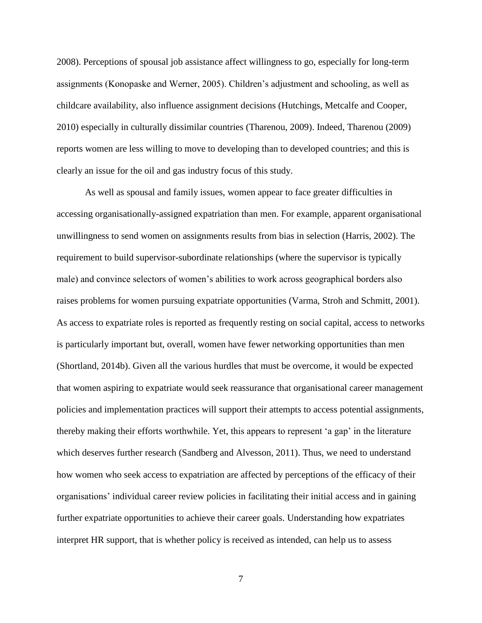2008). Perceptions of spousal job assistance affect willingness to go, especially for long-term assignments (Konopaske and Werner, 2005). Children's adjustment and schooling, as well as childcare availability, also influence assignment decisions (Hutchings, Metcalfe and Cooper, 2010) especially in culturally dissimilar countries (Tharenou, 2009). Indeed, Tharenou (2009) reports women are less willing to move to developing than to developed countries; and this is clearly an issue for the oil and gas industry focus of this study.

As well as spousal and family issues, women appear to face greater difficulties in accessing organisationally-assigned expatriation than men. For example, apparent organisational unwillingness to send women on assignments results from bias in selection (Harris, 2002). The requirement to build supervisor-subordinate relationships (where the supervisor is typically male) and convince selectors of women's abilities to work across geographical borders also raises problems for women pursuing expatriate opportunities (Varma, Stroh and Schmitt, 2001). As access to expatriate roles is reported as frequently resting on social capital, access to networks is particularly important but, overall, women have fewer networking opportunities than men (Shortland, 2014b). Given all the various hurdles that must be overcome, it would be expected that women aspiring to expatriate would seek reassurance that organisational career management policies and implementation practices will support their attempts to access potential assignments, thereby making their efforts worthwhile. Yet, this appears to represent 'a gap' in the literature which deserves further research (Sandberg and Alvesson, 2011). Thus, we need to understand how women who seek access to expatriation are affected by perceptions of the efficacy of their organisations' individual career review policies in facilitating their initial access and in gaining further expatriate opportunities to achieve their career goals. Understanding how expatriates interpret HR support, that is whether policy is received as intended, can help us to assess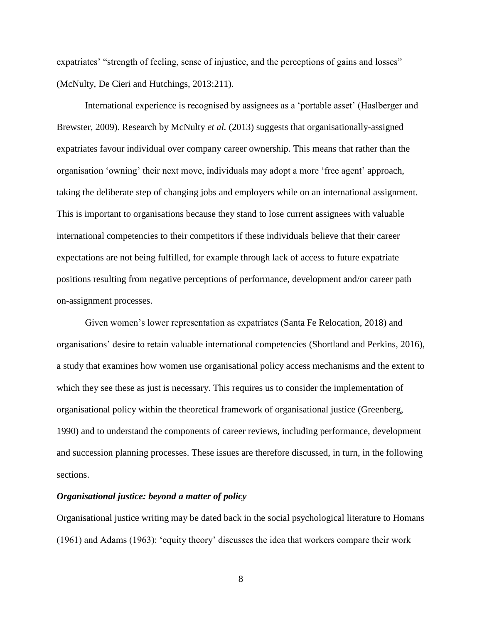expatriates' "strength of feeling, sense of injustice, and the perceptions of gains and losses" (McNulty, De Cieri and Hutchings, 2013:211).

International experience is recognised by assignees as a 'portable asset' (Haslberger and Brewster, 2009). Research by McNulty *et al.* (2013) suggests that organisationally-assigned expatriates favour individual over company career ownership. This means that rather than the organisation 'owning' their next move, individuals may adopt a more 'free agent' approach, taking the deliberate step of changing jobs and employers while on an international assignment. This is important to organisations because they stand to lose current assignees with valuable international competencies to their competitors if these individuals believe that their career expectations are not being fulfilled, for example through lack of access to future expatriate positions resulting from negative perceptions of performance, development and/or career path on-assignment processes.

Given women's lower representation as expatriates (Santa Fe Relocation, 2018) and organisations' desire to retain valuable international competencies (Shortland and Perkins, 2016), a study that examines how women use organisational policy access mechanisms and the extent to which they see these as just is necessary. This requires us to consider the implementation of organisational policy within the theoretical framework of organisational justice (Greenberg, 1990) and to understand the components of career reviews, including performance, development and succession planning processes. These issues are therefore discussed, in turn, in the following sections.

#### *Organisational justice: beyond a matter of policy*

Organisational justice writing may be dated back in the social psychological literature to Homans (1961) and Adams (1963): 'equity theory' discusses the idea that workers compare their work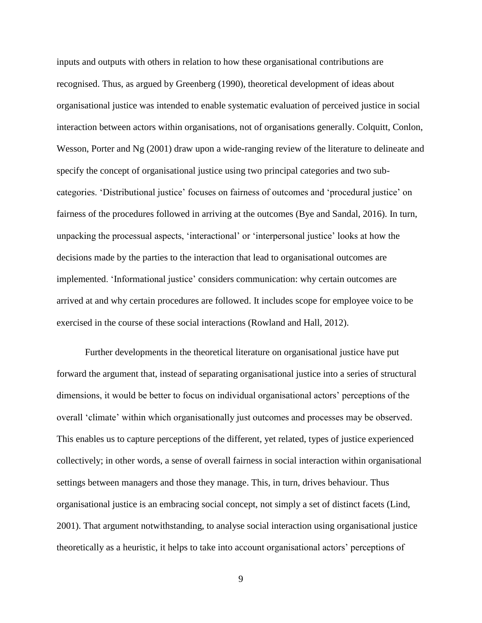inputs and outputs with others in relation to how these organisational contributions are recognised. Thus, as argued by Greenberg (1990), theoretical development of ideas about organisational justice was intended to enable systematic evaluation of perceived justice in social interaction between actors within organisations, not of organisations generally. Colquitt, Conlon, Wesson, Porter and Ng (2001) draw upon a wide-ranging review of the literature to delineate and specify the concept of organisational justice using two principal categories and two subcategories. 'Distributional justice' focuses on fairness of outcomes and 'procedural justice' on fairness of the procedures followed in arriving at the outcomes (Bye and Sandal, 2016). In turn, unpacking the processual aspects, 'interactional' or 'interpersonal justice' looks at how the decisions made by the parties to the interaction that lead to organisational outcomes are implemented. 'Informational justice' considers communication: why certain outcomes are arrived at and why certain procedures are followed. It includes scope for employee voice to be exercised in the course of these social interactions (Rowland and Hall, 2012).

Further developments in the theoretical literature on organisational justice have put forward the argument that, instead of separating organisational justice into a series of structural dimensions, it would be better to focus on individual organisational actors' perceptions of the overall 'climate' within which organisationally just outcomes and processes may be observed. This enables us to capture perceptions of the different, yet related, types of justice experienced collectively; in other words, a sense of overall fairness in social interaction within organisational settings between managers and those they manage. This, in turn, drives behaviour. Thus organisational justice is an embracing social concept, not simply a set of distinct facets (Lind, 2001). That argument notwithstanding, to analyse social interaction using organisational justice theoretically as a heuristic, it helps to take into account organisational actors' perceptions of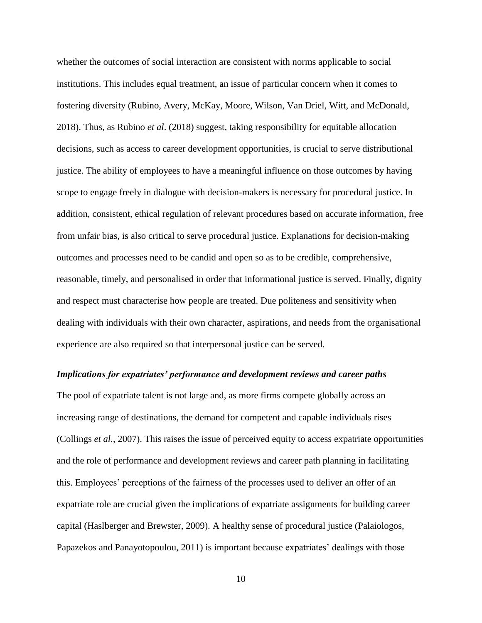whether the outcomes of social interaction are consistent with norms applicable to social institutions. This includes equal treatment, an issue of particular concern when it comes to fostering diversity (Rubino, Avery, McKay, Moore, Wilson, Van Driel, Witt, and McDonald, 2018). Thus, as Rubino *et al*. (2018) suggest, taking responsibility for equitable allocation decisions, such as access to career development opportunities, is crucial to serve distributional justice. The ability of employees to have a meaningful influence on those outcomes by having scope to engage freely in dialogue with decision-makers is necessary for procedural justice. In addition, consistent, ethical regulation of relevant procedures based on accurate information, free from unfair bias, is also critical to serve procedural justice. Explanations for decision-making outcomes and processes need to be candid and open so as to be credible, comprehensive, reasonable, timely, and personalised in order that informational justice is served. Finally, dignity and respect must characterise how people are treated. Due politeness and sensitivity when dealing with individuals with their own character, aspirations, and needs from the organisational experience are also required so that interpersonal justice can be served.

#### *Implications for expatriates' performance and development reviews and career paths*

The pool of expatriate talent is not large and, as more firms compete globally across an increasing range of destinations, the demand for competent and capable individuals rises (Collings *et al.*, 2007). This raises the issue of perceived equity to access expatriate opportunities and the role of performance and development reviews and career path planning in facilitating this. Employees' perceptions of the fairness of the processes used to deliver an offer of an expatriate role are crucial given the implications of expatriate assignments for building career capital (Haslberger and Brewster, 2009). A healthy sense of procedural justice (Palaiologos, Papazekos and Panayotopoulou, 2011) is important because expatriates' dealings with those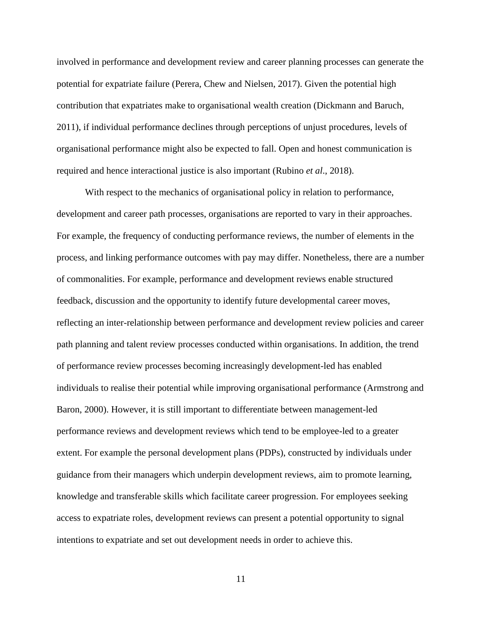involved in performance and development review and career planning processes can generate the potential for expatriate failure (Perera, Chew and Nielsen, 2017). Given the potential high contribution that expatriates make to organisational wealth creation (Dickmann and Baruch, 2011), if individual performance declines through perceptions of unjust procedures, levels of organisational performance might also be expected to fall. Open and honest communication is required and hence interactional justice is also important (Rubino *et al*., 2018).

With respect to the mechanics of organisational policy in relation to performance, development and career path processes, organisations are reported to vary in their approaches. For example, the frequency of conducting performance reviews, the number of elements in the process, and linking performance outcomes with pay may differ. Nonetheless, there are a number of commonalities. For example, performance and development reviews enable structured feedback, discussion and the opportunity to identify future developmental career moves, reflecting an inter-relationship between performance and development review policies and career path planning and talent review processes conducted within organisations. In addition, the trend of performance review processes becoming increasingly development-led has enabled individuals to realise their potential while improving organisational performance (Armstrong and Baron, 2000). However, it is still important to differentiate between management-led performance reviews and development reviews which tend to be employee-led to a greater extent. For example the personal development plans (PDPs), constructed by individuals under guidance from their managers which underpin development reviews, aim to promote learning, knowledge and transferable skills which facilitate career progression. For employees seeking access to expatriate roles, development reviews can present a potential opportunity to signal intentions to expatriate and set out development needs in order to achieve this.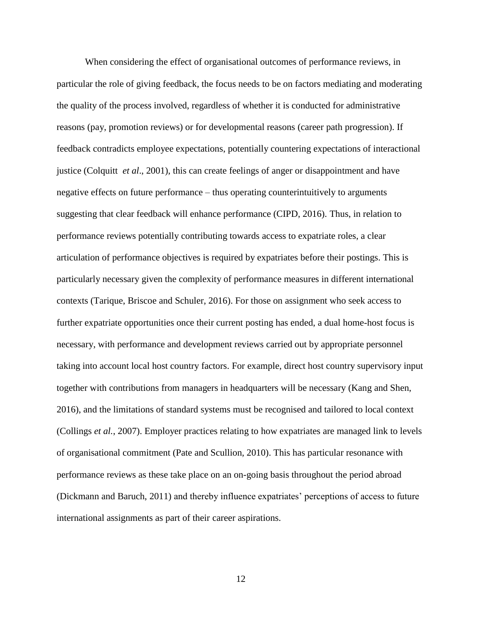When considering the effect of organisational outcomes of performance reviews, in particular the role of giving feedback, the focus needs to be on factors mediating and moderating the quality of the process involved, regardless of whether it is conducted for administrative reasons (pay, promotion reviews) or for developmental reasons (career path progression). If feedback contradicts employee expectations, potentially countering expectations of interactional justice (Colquitt *et al*., 2001), this can create feelings of anger or disappointment and have negative effects on future performance – thus operating counterintuitively to arguments suggesting that clear feedback will enhance performance (CIPD, 2016). Thus, in relation to performance reviews potentially contributing towards access to expatriate roles, a clear articulation of performance objectives is required by expatriates before their postings. This is particularly necessary given the complexity of performance measures in different international contexts (Tarique, Briscoe and Schuler, 2016). For those on assignment who seek access to further expatriate opportunities once their current posting has ended, a dual home-host focus is necessary, with performance and development reviews carried out by appropriate personnel taking into account local host country factors. For example, direct host country supervisory input together with contributions from managers in headquarters will be necessary (Kang and Shen, 2016), and the limitations of standard systems must be recognised and tailored to local context (Collings *et al.*, 2007). Employer practices relating to how expatriates are managed link to levels of organisational commitment (Pate and Scullion, 2010). This has particular resonance with performance reviews as these take place on an on-going basis throughout the period abroad (Dickmann and Baruch, 2011) and thereby influence expatriates' perceptions of access to future international assignments as part of their career aspirations.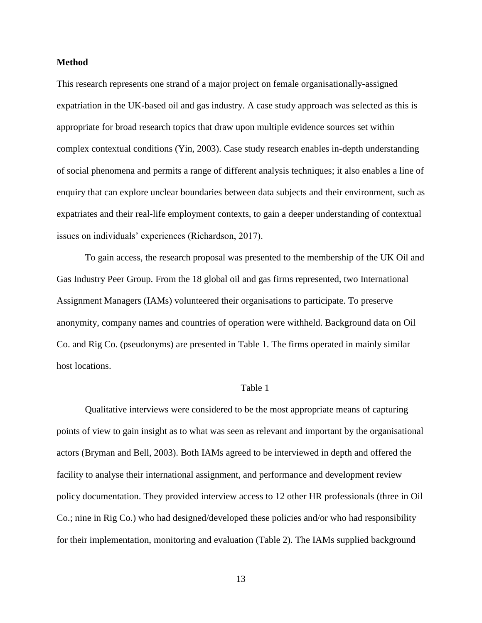#### **Method**

This research represents one strand of a major project on female organisationally-assigned expatriation in the UK-based oil and gas industry. A case study approach was selected as this is appropriate for broad research topics that draw upon multiple evidence sources set within complex contextual conditions (Yin, 2003). Case study research enables in-depth understanding of social phenomena and permits a range of different analysis techniques; it also enables a line of enquiry that can explore unclear boundaries between data subjects and their environment, such as expatriates and their real-life employment contexts, to gain a deeper understanding of contextual issues on individuals' experiences (Richardson, 2017).

To gain access, the research proposal was presented to the membership of the UK Oil and Gas Industry Peer Group. From the 18 global oil and gas firms represented, two International Assignment Managers (IAMs) volunteered their organisations to participate. To preserve anonymity, company names and countries of operation were withheld. Background data on Oil Co. and Rig Co. (pseudonyms) are presented in Table 1. The firms operated in mainly similar host locations.

#### Table 1

Qualitative interviews were considered to be the most appropriate means of capturing points of view to gain insight as to what was seen as relevant and important by the organisational actors (Bryman and Bell, 2003). Both IAMs agreed to be interviewed in depth and offered the facility to analyse their international assignment, and performance and development review policy documentation. They provided interview access to 12 other HR professionals (three in Oil Co.; nine in Rig Co.) who had designed/developed these policies and/or who had responsibility for their implementation, monitoring and evaluation (Table 2). The IAMs supplied background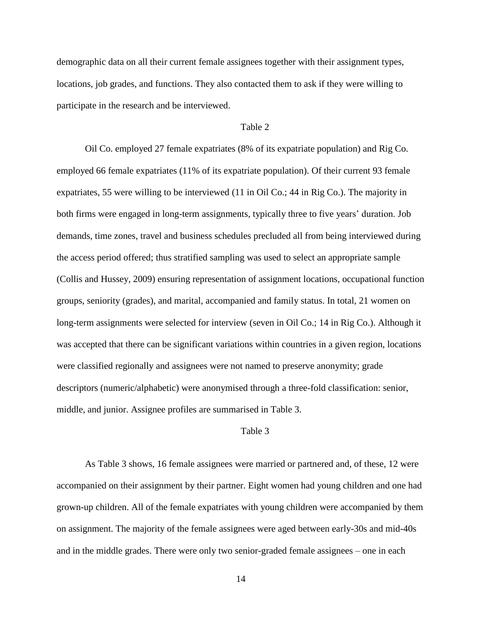demographic data on all their current female assignees together with their assignment types, locations, job grades, and functions. They also contacted them to ask if they were willing to participate in the research and be interviewed.

#### Table 2

Oil Co. employed 27 female expatriates (8% of its expatriate population) and Rig Co. employed 66 female expatriates (11% of its expatriate population). Of their current 93 female expatriates, 55 were willing to be interviewed (11 in Oil Co.; 44 in Rig Co.). The majority in both firms were engaged in long-term assignments, typically three to five years' duration. Job demands, time zones, travel and business schedules precluded all from being interviewed during the access period offered; thus stratified sampling was used to select an appropriate sample (Collis and Hussey, 2009) ensuring representation of assignment locations, occupational function groups, seniority (grades), and marital, accompanied and family status. In total, 21 women on long-term assignments were selected for interview (seven in Oil Co.; 14 in Rig Co.). Although it was accepted that there can be significant variations within countries in a given region, locations were classified regionally and assignees were not named to preserve anonymity; grade descriptors (numeric/alphabetic) were anonymised through a three-fold classification: senior, middle, and junior. Assignee profiles are summarised in Table 3.

#### Table 3

As Table 3 shows, 16 female assignees were married or partnered and, of these, 12 were accompanied on their assignment by their partner. Eight women had young children and one had grown-up children. All of the female expatriates with young children were accompanied by them on assignment. The majority of the female assignees were aged between early-30s and mid-40s and in the middle grades. There were only two senior-graded female assignees – one in each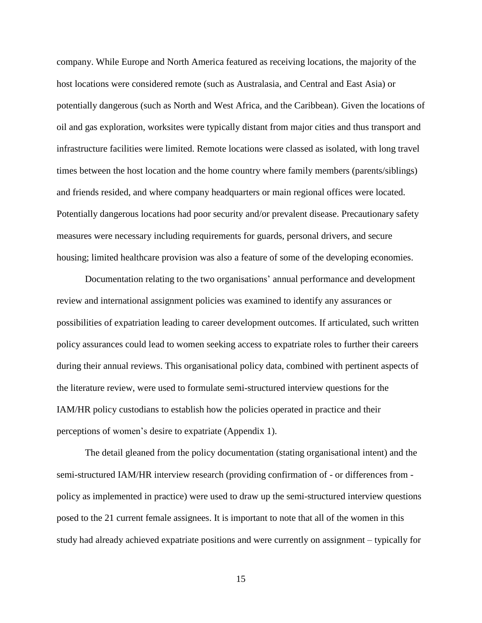company. While Europe and North America featured as receiving locations, the majority of the host locations were considered remote (such as Australasia, and Central and East Asia) or potentially dangerous (such as North and West Africa, and the Caribbean). Given the locations of oil and gas exploration, worksites were typically distant from major cities and thus transport and infrastructure facilities were limited. Remote locations were classed as isolated, with long travel times between the host location and the home country where family members (parents/siblings) and friends resided, and where company headquarters or main regional offices were located. Potentially dangerous locations had poor security and/or prevalent disease. Precautionary safety measures were necessary including requirements for guards, personal drivers, and secure housing; limited healthcare provision was also a feature of some of the developing economies.

Documentation relating to the two organisations' annual performance and development review and international assignment policies was examined to identify any assurances or possibilities of expatriation leading to career development outcomes. If articulated, such written policy assurances could lead to women seeking access to expatriate roles to further their careers during their annual reviews. This organisational policy data, combined with pertinent aspects of the literature review, were used to formulate semi-structured interview questions for the IAM/HR policy custodians to establish how the policies operated in practice and their perceptions of women's desire to expatriate (Appendix 1).

The detail gleaned from the policy documentation (stating organisational intent) and the semi-structured IAM/HR interview research (providing confirmation of - or differences from policy as implemented in practice) were used to draw up the semi-structured interview questions posed to the 21 current female assignees. It is important to note that all of the women in this study had already achieved expatriate positions and were currently on assignment – typically for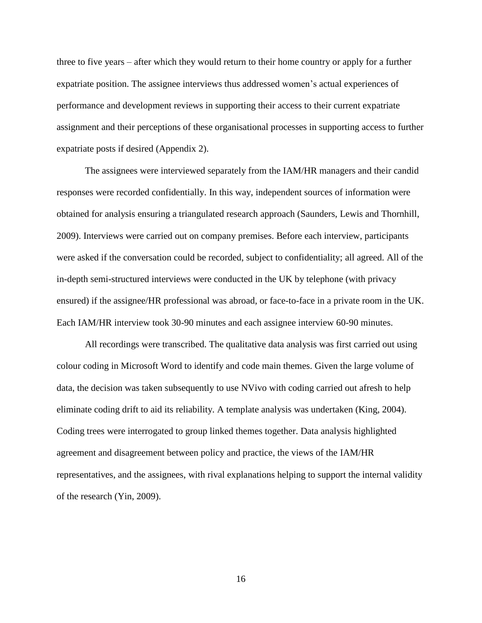three to five years – after which they would return to their home country or apply for a further expatriate position. The assignee interviews thus addressed women's actual experiences of performance and development reviews in supporting their access to their current expatriate assignment and their perceptions of these organisational processes in supporting access to further expatriate posts if desired (Appendix 2).

The assignees were interviewed separately from the IAM/HR managers and their candid responses were recorded confidentially. In this way, independent sources of information were obtained for analysis ensuring a triangulated research approach (Saunders, Lewis and Thornhill, 2009). Interviews were carried out on company premises. Before each interview, participants were asked if the conversation could be recorded, subject to confidentiality; all agreed. All of the in-depth semi-structured interviews were conducted in the UK by telephone (with privacy ensured) if the assignee/HR professional was abroad, or face-to-face in a private room in the UK. Each IAM/HR interview took 30-90 minutes and each assignee interview 60-90 minutes.

All recordings were transcribed. The qualitative data analysis was first carried out using colour coding in Microsoft Word to identify and code main themes. Given the large volume of data, the decision was taken subsequently to use NVivo with coding carried out afresh to help eliminate coding drift to aid its reliability. A template analysis was undertaken (King, 2004). Coding trees were interrogated to group linked themes together. Data analysis highlighted agreement and disagreement between policy and practice, the views of the IAM/HR representatives, and the assignees, with rival explanations helping to support the internal validity of the research (Yin, 2009).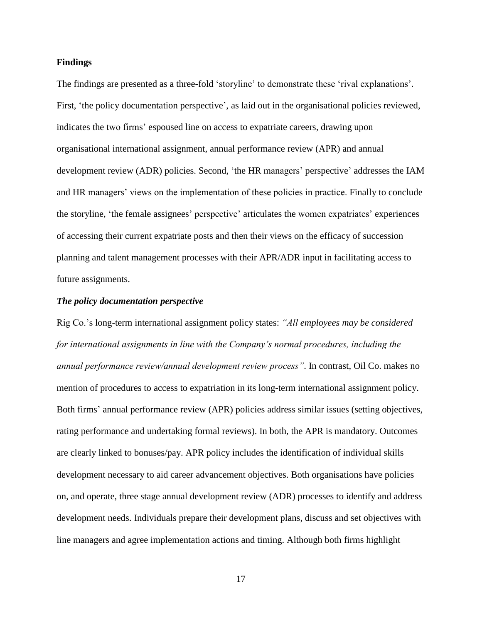#### **Findings**

The findings are presented as a three-fold 'storyline' to demonstrate these 'rival explanations'. First, 'the policy documentation perspective', as laid out in the organisational policies reviewed, indicates the two firms' espoused line on access to expatriate careers, drawing upon organisational international assignment, annual performance review (APR) and annual development review (ADR) policies. Second, 'the HR managers' perspective' addresses the IAM and HR managers' views on the implementation of these policies in practice. Finally to conclude the storyline, 'the female assignees' perspective' articulates the women expatriates' experiences of accessing their current expatriate posts and then their views on the efficacy of succession planning and talent management processes with their APR/ADR input in facilitating access to future assignments.

#### *The policy documentation perspective*

Rig Co.'s long-term international assignment policy states: *"All employees may be considered for international assignments in line with the Company's normal procedures, including the annual performance review/annual development review process"*. In contrast, Oil Co. makes no mention of procedures to access to expatriation in its long-term international assignment policy. Both firms' annual performance review (APR) policies address similar issues (setting objectives, rating performance and undertaking formal reviews). In both, the APR is mandatory. Outcomes are clearly linked to bonuses/pay. APR policy includes the identification of individual skills development necessary to aid career advancement objectives. Both organisations have policies on, and operate, three stage annual development review (ADR) processes to identify and address development needs. Individuals prepare their development plans, discuss and set objectives with line managers and agree implementation actions and timing. Although both firms highlight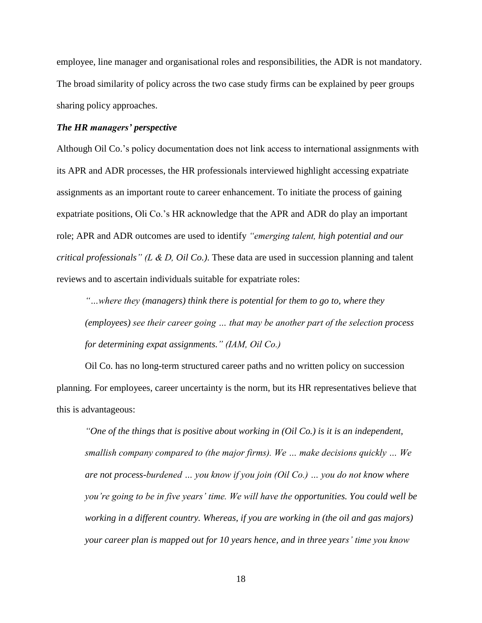employee, line manager and organisational roles and responsibilities, the ADR is not mandatory. The broad similarity of policy across the two case study firms can be explained by peer groups sharing policy approaches.

#### *The HR managers' perspective*

Although Oil Co.'s policy documentation does not link access to international assignments with its APR and ADR processes, the HR professionals interviewed highlight accessing expatriate assignments as an important route to career enhancement. To initiate the process of gaining expatriate positions, Oli Co.'s HR acknowledge that the APR and ADR do play an important role; APR and ADR outcomes are used to identify *"emerging talent, high potential and our critical professionals" (L & D, Oil Co.)*. These data are used in succession planning and talent reviews and to ascertain individuals suitable for expatriate roles:

*"…where they (managers) think there is potential for them to go to, where they (employees) see their career going … that may be another part of the selection process for determining expat assignments." (IAM, Oil Co.)*

Oil Co. has no long-term structured career paths and no written policy on succession planning. For employees, career uncertainty is the norm, but its HR representatives believe that this is advantageous:

*"One of the things that is positive about working in (Oil Co.) is it is an independent, smallish company compared to (the major firms). We … make decisions quickly … We are not process-burdened … you know if you join (Oil Co.) … you do not know where you're going to be in five years' time. We will have the opportunities. You could well be working in a different country. Whereas, if you are working in (the oil and gas majors) your career plan is mapped out for 10 years hence, and in three years' time you know*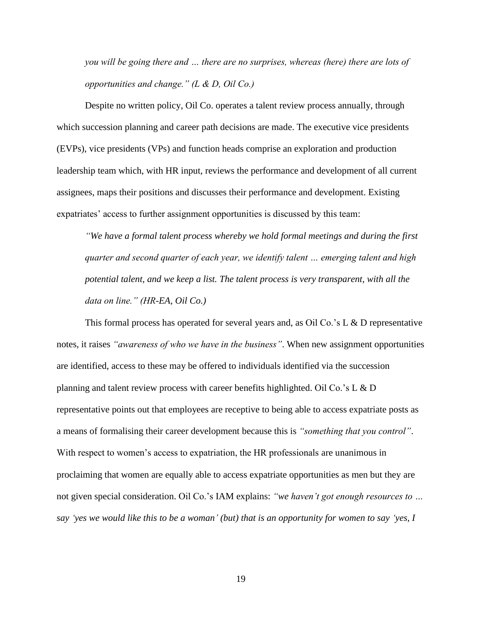*you will be going there and … there are no surprises, whereas (here) there are lots of opportunities and change." (L & D, Oil Co.)*

Despite no written policy, Oil Co. operates a talent review process annually, through which succession planning and career path decisions are made. The executive vice presidents (EVPs), vice presidents (VPs) and function heads comprise an exploration and production leadership team which, with HR input, reviews the performance and development of all current assignees, maps their positions and discusses their performance and development. Existing expatriates' access to further assignment opportunities is discussed by this team:

*"We have a formal talent process whereby we hold formal meetings and during the first quarter and second quarter of each year, we identify talent … emerging talent and high potential talent, and we keep a list. The talent process is very transparent, with all the data on line." (HR-EA, Oil Co.)*

This formal process has operated for several years and, as Oil Co.'s L & D representative notes, it raises *"awareness of who we have in the business"*. When new assignment opportunities are identified, access to these may be offered to individuals identified via the succession planning and talent review process with career benefits highlighted. Oil Co.'s L & D representative points out that employees are receptive to being able to access expatriate posts as a means of formalising their career development because this is *"something that you control"*. With respect to women's access to expatriation, the HR professionals are unanimous in proclaiming that women are equally able to access expatriate opportunities as men but they are not given special consideration. Oil Co.'s IAM explains: *"we haven't got enough resources to … say 'yes we would like this to be a woman' (but) that is an opportunity for women to say 'yes, I*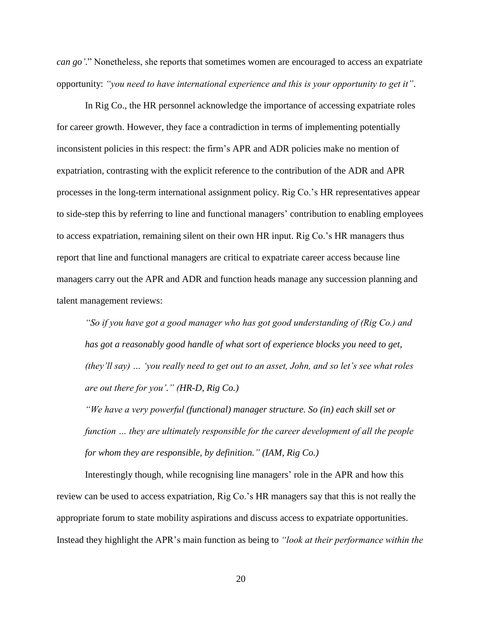*can go'*." Nonetheless, she reports that sometimes women are encouraged to access an expatriate opportunity: *"you need to have international experience and this is your opportunity to get it"*.

In Rig Co., the HR personnel acknowledge the importance of accessing expatriate roles for career growth. However, they face a contradiction in terms of implementing potentially inconsistent policies in this respect: the firm's APR and ADR policies make no mention of expatriation, contrasting with the explicit reference to the contribution of the ADR and APR processes in the long-term international assignment policy. Rig Co.'s HR representatives appear to side-step this by referring to line and functional managers' contribution to enabling employees to access expatriation, remaining silent on their own HR input. Rig Co.'s HR managers thus report that line and functional managers are critical to expatriate career access because line managers carry out the APR and ADR and function heads manage any succession planning and talent management reviews:

*"So if you have got a good manager who has got good understanding of (Rig Co.) and*  has got a reasonably good handle of what sort of experience blocks you need to get, *(they'll say) … 'you really need to get out to an asset, John, and so let's see what roles are out there for you'." (HR-D, Rig Co.)*

*"We have a very powerful (functional) manager structure. So (in) each skill set or function … they are ultimately responsible for the career development of all the people for whom they are responsible, by definition." (IAM, Rig Co.)*

Interestingly though, while recognising line managers' role in the APR and how this review can be used to access expatriation, Rig Co.'s HR managers say that this is not really the appropriate forum to state mobility aspirations and discuss access to expatriate opportunities. Instead they highlight the APR's main function as being to *"look at their performance within the*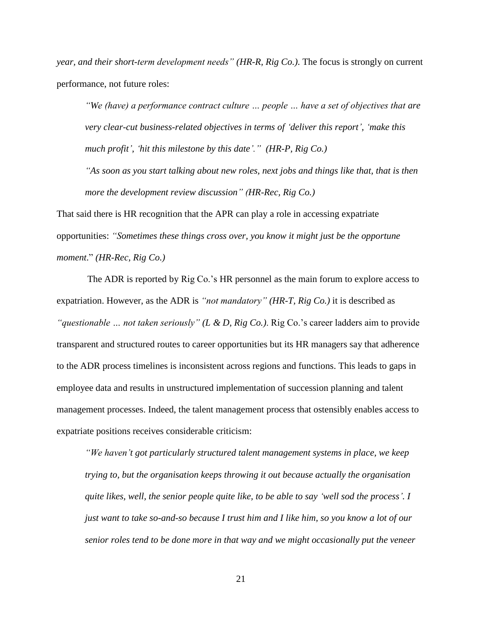*year, and their short-term development needs" (HR-R, Rig Co.)*. The focus is strongly on current performance, not future roles:

*"We (have) a performance contract culture … people … have a set of objectives that are very clear-cut business-related objectives in terms of 'deliver this report', 'make this much profit', 'hit this milestone by this date'." (HR-P, Rig Co.)*

*"As soon as you start talking about new roles, next jobs and things like that, that is then more the development review discussion" (HR-Rec, Rig Co.)*

That said there is HR recognition that the APR can play a role in accessing expatriate opportunities: *"Sometimes these things cross over, you know it might just be the opportune moment*." *(HR-Rec, Rig Co.)*

The ADR is reported by Rig Co.'s HR personnel as the main forum to explore access to expatriation. However, as the ADR is *"not mandatory" (HR-T, Rig Co.)* it is described as *"questionable … not taken seriously" (L & D, Rig Co.)*. Rig Co.'s career ladders aim to provide transparent and structured routes to career opportunities but its HR managers say that adherence to the ADR process timelines is inconsistent across regions and functions. This leads to gaps in employee data and results in unstructured implementation of succession planning and talent management processes. Indeed, the talent management process that ostensibly enables access to expatriate positions receives considerable criticism:

*"We haven't got particularly structured talent management systems in place, we keep trying to, but the organisation keeps throwing it out because actually the organisation quite likes, well, the senior people quite like, to be able to say 'well sod the process'. I just want to take so-and-so because I trust him and I like him, so you know a lot of our senior roles tend to be done more in that way and we might occasionally put the veneer*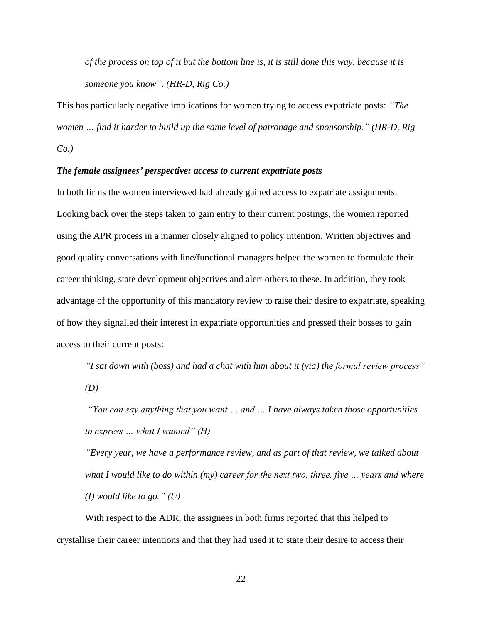*of the process on top of it but the bottom line is, it is still done this way, because it is someone you know". (HR-D, Rig Co.)*

This has particularly negative implications for women trying to access expatriate posts: *"The women … find it harder to build up the same level of patronage and sponsorship." (HR-D, Rig Co.)*

#### *The female assignees' perspective: access to current expatriate posts*

In both firms the women interviewed had already gained access to expatriate assignments. Looking back over the steps taken to gain entry to their current postings, the women reported using the APR process in a manner closely aligned to policy intention. Written objectives and good quality conversations with line/functional managers helped the women to formulate their career thinking, state development objectives and alert others to these. In addition, they took advantage of the opportunity of this mandatory review to raise their desire to expatriate, speaking of how they signalled their interest in expatriate opportunities and pressed their bosses to gain access to their current posts:

*"I sat down with (boss) and had a chat with him about it (via) the formal review process" (D)*

*"You can say anything that you want … and … I have always taken those opportunities to express … what I wanted" (H)* 

*"Every year, we have a performance review, and as part of that review, we talked about what I would like to do within (my) career for the next two, three, five … years and where (I) would like to go." (U)*

With respect to the ADR, the assignees in both firms reported that this helped to crystallise their career intentions and that they had used it to state their desire to access their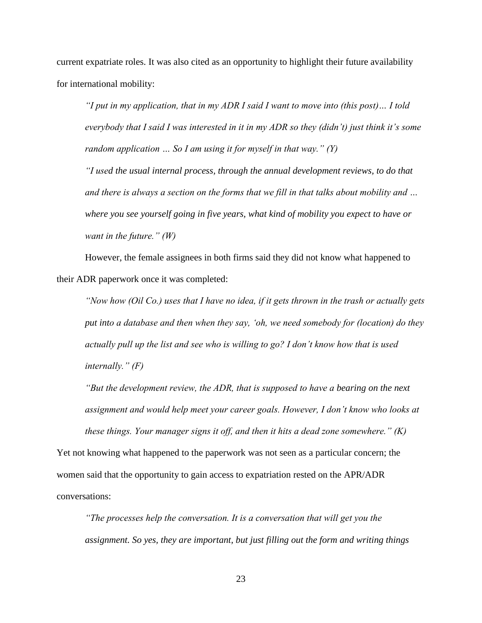current expatriate roles. It was also cited as an opportunity to highlight their future availability for international mobility:

*"I put in my application, that in my ADR I said I want to move into (this post)… I told everybody that I said I was interested in it in my ADR so they (didn't) just think it's some random application … So I am using it for myself in that way." (Y)*

*"I used the usual internal process, through the annual development reviews, to do that and there is always a section on the forms that we fill in that talks about mobility and … where you see yourself going in five years, what kind of mobility you expect to have or want in the future." (W)*

However, the female assignees in both firms said they did not know what happened to their ADR paperwork once it was completed:

*"Now how (Oil Co.) uses that I have no idea, if it gets thrown in the trash or actually gets put into a database and then when they say, 'oh, we need somebody for (location) do they actually pull up the list and see who is willing to go? I don't know how that is used internally." (F)*

*"But the development review, the ADR, that is supposed to have a bearing on the next assignment and would help meet your career goals. However, I don't know who looks at these things. Your manager signs it off, and then it hits a dead zone somewhere." (K)*

Yet not knowing what happened to the paperwork was not seen as a particular concern; the women said that the opportunity to gain access to expatriation rested on the APR/ADR conversations:

*"The processes help the conversation. It is a conversation that will get you the assignment. So yes, they are important, but just filling out the form and writing things*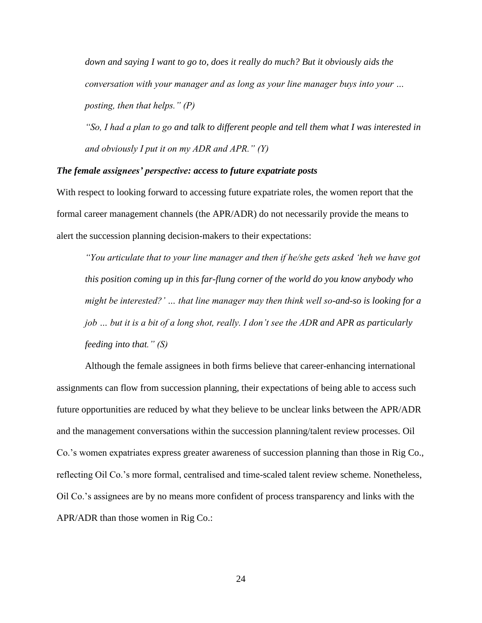*down and saying I want to go to, does it really do much? But it obviously aids the conversation with your manager and as long as your line manager buys into your … posting, then that helps." (P)*

*"So, I had a plan to go and talk to different people and tell them what I was interested in and obviously I put it on my ADR and APR." (Y)*

#### *The female assignees' perspective: access to future expatriate posts*

With respect to looking forward to accessing future expatriate roles, the women report that the formal career management channels (the APR/ADR) do not necessarily provide the means to alert the succession planning decision-makers to their expectations:

*"You articulate that to your line manager and then if he/she gets asked 'heh we have got this position coming up in this far-flung corner of the world do you know anybody who might be interested?' … that line manager may then think well so-and-so is looking for a job … but it is a bit of a long shot, really. I don't see the ADR and APR as particularly feeding into that." (S)*

Although the female assignees in both firms believe that career-enhancing international assignments can flow from succession planning, their expectations of being able to access such future opportunities are reduced by what they believe to be unclear links between the APR/ADR and the management conversations within the succession planning/talent review processes. Oil Co.'s women expatriates express greater awareness of succession planning than those in Rig Co., reflecting Oil Co.'s more formal, centralised and time-scaled talent review scheme. Nonetheless, Oil Co.'s assignees are by no means more confident of process transparency and links with the APR/ADR than those women in Rig Co.: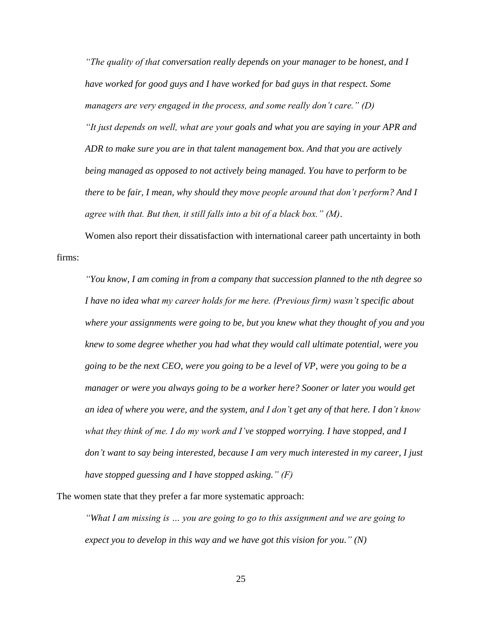*"The quality of that conversation really depends on your manager to be honest, and I have worked for good guys and I have worked for bad guys in that respect. Some managers are very engaged in the process, and some really don't care." (D) "It just depends on well, what are your goals and what you are saying in your APR and ADR to make sure you are in that talent management box. And that you are actively being managed as opposed to not actively being managed. You have to perform to be there to be fair, I mean, why should they move people around that don't perform? And I agree with that. But then, it still falls into a bit of a black box." (M)*.

Women also report their dissatisfaction with international career path uncertainty in both firms:

*"You know, I am coming in from a company that succession planned to the nth degree so I have no idea what my career holds for me here. (Previous firm) wasn't specific about where your assignments were going to be, but you knew what they thought of you and you knew to some degree whether you had what they would call ultimate potential, were you going to be the next CEO, were you going to be a level of VP, were you going to be a manager or were you always going to be a worker here? Sooner or later you would get an idea of where you were, and the system, and I don't get any of that here. I don't know what they think of me. I do my work and I've stopped worrying. I have stopped, and I don't want to say being interested, because I am very much interested in my career, I just have stopped guessing and I have stopped asking." (F)*

The women state that they prefer a far more systematic approach:

*"What I am missing is … you are going to go to this assignment and we are going to expect you to develop in this way and we have got this vision for you." (N)*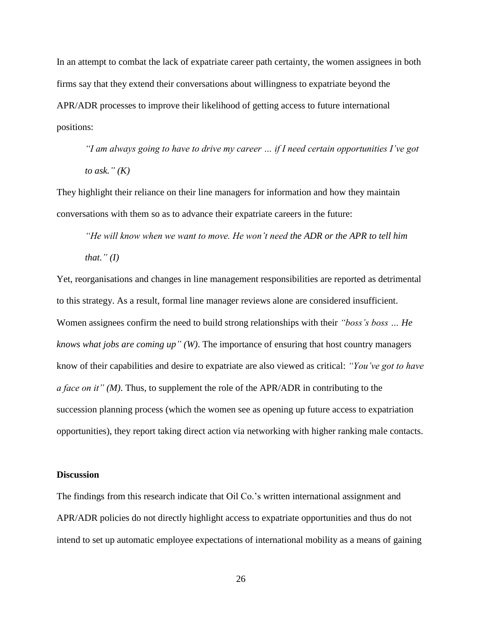In an attempt to combat the lack of expatriate career path certainty, the women assignees in both firms say that they extend their conversations about willingness to expatriate beyond the APR/ADR processes to improve their likelihood of getting access to future international positions:

*"I am always going to have to drive my career … if I need certain opportunities I've got to ask." (K)*

They highlight their reliance on their line managers for information and how they maintain conversations with them so as to advance their expatriate careers in the future:

*"He will know when we want to move. He won't need the ADR or the APR to tell him that." (I)*

Yet, reorganisations and changes in line management responsibilities are reported as detrimental to this strategy. As a result, formal line manager reviews alone are considered insufficient. Women assignees confirm the need to build strong relationships with their *"boss's boss … He knows what jobs are coming up" (W)*. The importance of ensuring that host country managers know of their capabilities and desire to expatriate are also viewed as critical: *"You've got to have a face on it" (M).* Thus, to supplement the role of the APR/ADR in contributing to the succession planning process (which the women see as opening up future access to expatriation opportunities), they report taking direct action via networking with higher ranking male contacts.

#### **Discussion**

The findings from this research indicate that Oil Co.'s written international assignment and APR/ADR policies do not directly highlight access to expatriate opportunities and thus do not intend to set up automatic employee expectations of international mobility as a means of gaining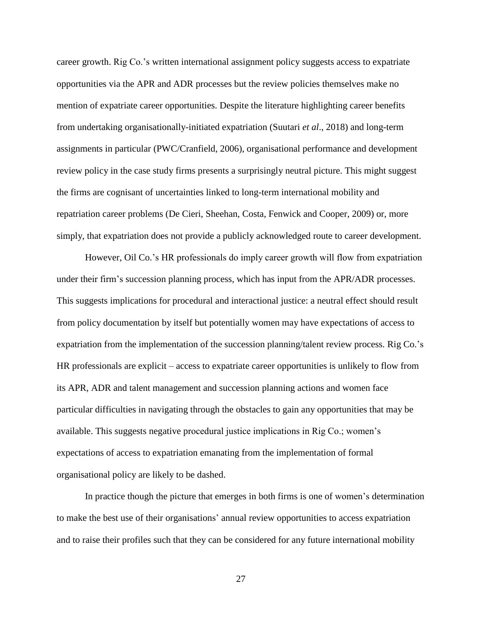career growth. Rig Co.'s written international assignment policy suggests access to expatriate opportunities via the APR and ADR processes but the review policies themselves make no mention of expatriate career opportunities. Despite the literature highlighting career benefits from undertaking organisationally-initiated expatriation (Suutari *et al*., 2018) and long-term assignments in particular (PWC/Cranfield, 2006), organisational performance and development review policy in the case study firms presents a surprisingly neutral picture. This might suggest the firms are cognisant of uncertainties linked to long-term international mobility and repatriation career problems (De Cieri, Sheehan, Costa, Fenwick and Cooper, 2009) or, more simply, that expatriation does not provide a publicly acknowledged route to career development.

However, Oil Co.'s HR professionals do imply career growth will flow from expatriation under their firm's succession planning process, which has input from the APR/ADR processes. This suggests implications for procedural and interactional justice: a neutral effect should result from policy documentation by itself but potentially women may have expectations of access to expatriation from the implementation of the succession planning/talent review process. Rig Co.'s HR professionals are explicit – access to expatriate career opportunities is unlikely to flow from its APR, ADR and talent management and succession planning actions and women face particular difficulties in navigating through the obstacles to gain any opportunities that may be available. This suggests negative procedural justice implications in Rig Co.; women's expectations of access to expatriation emanating from the implementation of formal organisational policy are likely to be dashed.

In practice though the picture that emerges in both firms is one of women's determination to make the best use of their organisations' annual review opportunities to access expatriation and to raise their profiles such that they can be considered for any future international mobility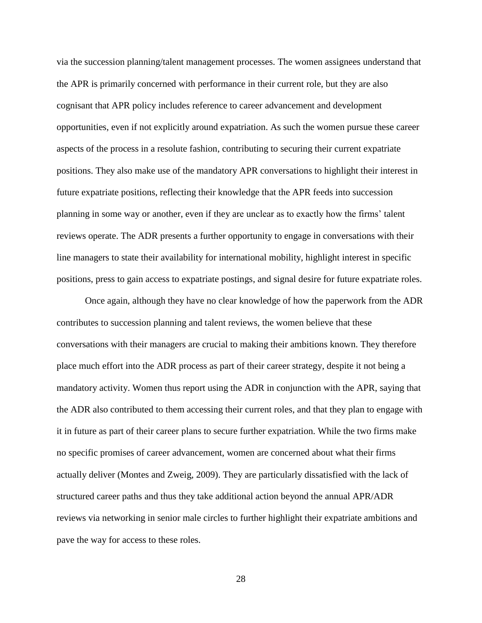via the succession planning/talent management processes. The women assignees understand that the APR is primarily concerned with performance in their current role, but they are also cognisant that APR policy includes reference to career advancement and development opportunities, even if not explicitly around expatriation. As such the women pursue these career aspects of the process in a resolute fashion, contributing to securing their current expatriate positions. They also make use of the mandatory APR conversations to highlight their interest in future expatriate positions, reflecting their knowledge that the APR feeds into succession planning in some way or another, even if they are unclear as to exactly how the firms' talent reviews operate. The ADR presents a further opportunity to engage in conversations with their line managers to state their availability for international mobility, highlight interest in specific positions, press to gain access to expatriate postings, and signal desire for future expatriate roles.

Once again, although they have no clear knowledge of how the paperwork from the ADR contributes to succession planning and talent reviews, the women believe that these conversations with their managers are crucial to making their ambitions known. They therefore place much effort into the ADR process as part of their career strategy, despite it not being a mandatory activity. Women thus report using the ADR in conjunction with the APR, saying that the ADR also contributed to them accessing their current roles, and that they plan to engage with it in future as part of their career plans to secure further expatriation. While the two firms make no specific promises of career advancement, women are concerned about what their firms actually deliver (Montes and Zweig, 2009). They are particularly dissatisfied with the lack of structured career paths and thus they take additional action beyond the annual APR/ADR reviews via networking in senior male circles to further highlight their expatriate ambitions and pave the way for access to these roles.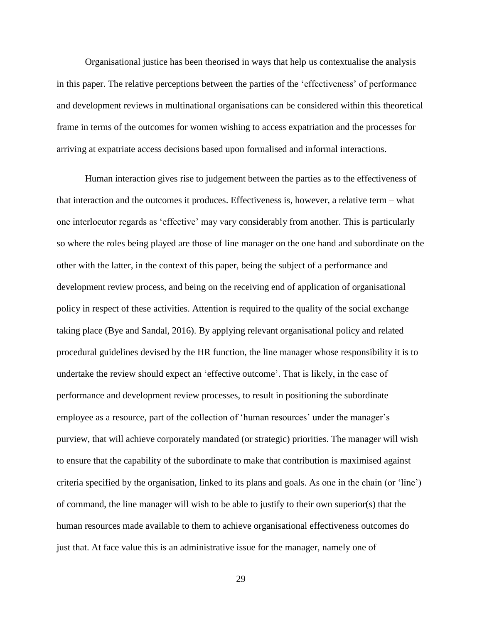Organisational justice has been theorised in ways that help us contextualise the analysis in this paper. The relative perceptions between the parties of the 'effectiveness' of performance and development reviews in multinational organisations can be considered within this theoretical frame in terms of the outcomes for women wishing to access expatriation and the processes for arriving at expatriate access decisions based upon formalised and informal interactions.

Human interaction gives rise to judgement between the parties as to the effectiveness of that interaction and the outcomes it produces. Effectiveness is, however, a relative term – what one interlocutor regards as 'effective' may vary considerably from another. This is particularly so where the roles being played are those of line manager on the one hand and subordinate on the other with the latter, in the context of this paper, being the subject of a performance and development review process, and being on the receiving end of application of organisational policy in respect of these activities. Attention is required to the quality of the social exchange taking place (Bye and Sandal, 2016). By applying relevant organisational policy and related procedural guidelines devised by the HR function, the line manager whose responsibility it is to undertake the review should expect an 'effective outcome'. That is likely, in the case of performance and development review processes, to result in positioning the subordinate employee as a resource, part of the collection of 'human resources' under the manager's purview, that will achieve corporately mandated (or strategic) priorities. The manager will wish to ensure that the capability of the subordinate to make that contribution is maximised against criteria specified by the organisation, linked to its plans and goals. As one in the chain (or 'line') of command, the line manager will wish to be able to justify to their own superior(s) that the human resources made available to them to achieve organisational effectiveness outcomes do just that. At face value this is an administrative issue for the manager, namely one of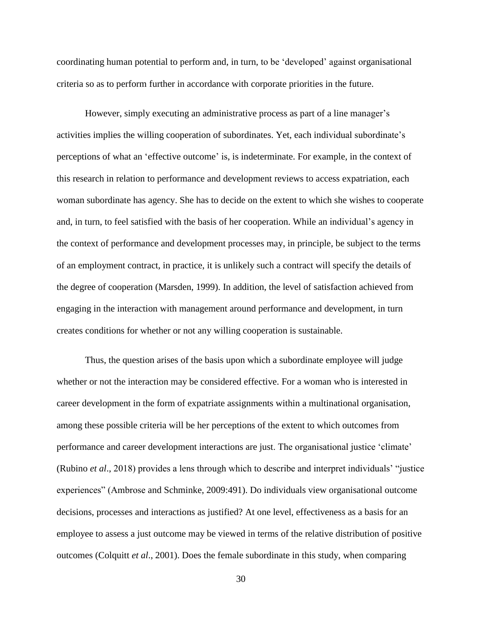coordinating human potential to perform and, in turn, to be 'developed' against organisational criteria so as to perform further in accordance with corporate priorities in the future.

However, simply executing an administrative process as part of a line manager's activities implies the willing cooperation of subordinates. Yet, each individual subordinate's perceptions of what an 'effective outcome' is, is indeterminate. For example, in the context of this research in relation to performance and development reviews to access expatriation, each woman subordinate has agency. She has to decide on the extent to which she wishes to cooperate and, in turn, to feel satisfied with the basis of her cooperation. While an individual's agency in the context of performance and development processes may, in principle, be subject to the terms of an employment contract, in practice, it is unlikely such a contract will specify the details of the degree of cooperation (Marsden, 1999). In addition, the level of satisfaction achieved from engaging in the interaction with management around performance and development, in turn creates conditions for whether or not any willing cooperation is sustainable.

Thus, the question arises of the basis upon which a subordinate employee will judge whether or not the interaction may be considered effective. For a woman who is interested in career development in the form of expatriate assignments within a multinational organisation, among these possible criteria will be her perceptions of the extent to which outcomes from performance and career development interactions are just. The organisational justice 'climate' (Rubino *et al*., 2018) provides a lens through which to describe and interpret individuals' "justice experiences" (Ambrose and Schminke, 2009:491). Do individuals view organisational outcome decisions, processes and interactions as justified? At one level, effectiveness as a basis for an employee to assess a just outcome may be viewed in terms of the relative distribution of positive outcomes (Colquitt *et al*., 2001). Does the female subordinate in this study, when comparing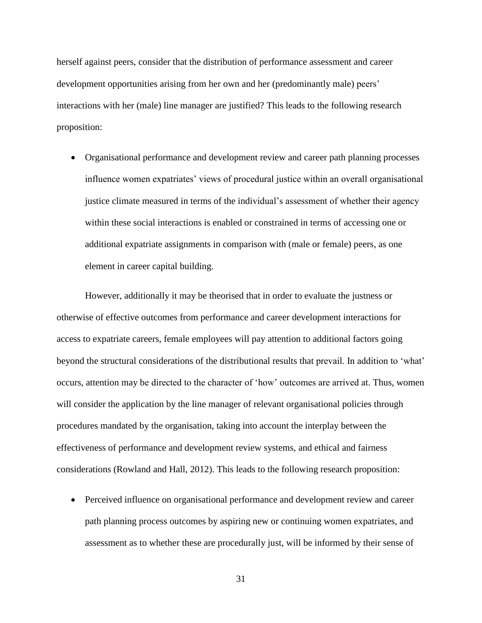herself against peers, consider that the distribution of performance assessment and career development opportunities arising from her own and her (predominantly male) peers' interactions with her (male) line manager are justified? This leads to the following research proposition:

 Organisational performance and development review and career path planning processes influence women expatriates' views of procedural justice within an overall organisational justice climate measured in terms of the individual's assessment of whether their agency within these social interactions is enabled or constrained in terms of accessing one or additional expatriate assignments in comparison with (male or female) peers, as one element in career capital building.

However, additionally it may be theorised that in order to evaluate the justness or otherwise of effective outcomes from performance and career development interactions for access to expatriate careers, female employees will pay attention to additional factors going beyond the structural considerations of the distributional results that prevail. In addition to 'what' occurs, attention may be directed to the character of 'how' outcomes are arrived at. Thus, women will consider the application by the line manager of relevant organisational policies through procedures mandated by the organisation, taking into account the interplay between the effectiveness of performance and development review systems, and ethical and fairness considerations (Rowland and Hall, 2012). This leads to the following research proposition:

 Perceived influence on organisational performance and development review and career path planning process outcomes by aspiring new or continuing women expatriates, and assessment as to whether these are procedurally just, will be informed by their sense of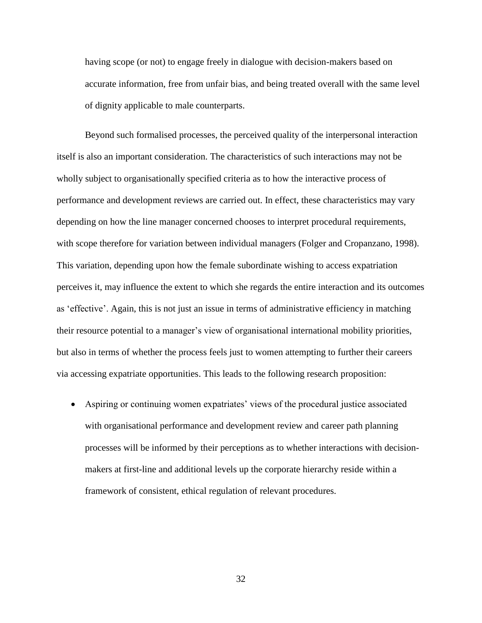having scope (or not) to engage freely in dialogue with decision-makers based on accurate information, free from unfair bias, and being treated overall with the same level of dignity applicable to male counterparts.

Beyond such formalised processes, the perceived quality of the interpersonal interaction itself is also an important consideration. The characteristics of such interactions may not be wholly subject to organisationally specified criteria as to how the interactive process of performance and development reviews are carried out. In effect, these characteristics may vary depending on how the line manager concerned chooses to interpret procedural requirements, with scope therefore for variation between individual managers (Folger and Cropanzano, 1998). This variation, depending upon how the female subordinate wishing to access expatriation perceives it, may influence the extent to which she regards the entire interaction and its outcomes as 'effective'. Again, this is not just an issue in terms of administrative efficiency in matching their resource potential to a manager's view of organisational international mobility priorities, but also in terms of whether the process feels just to women attempting to further their careers via accessing expatriate opportunities. This leads to the following research proposition:

 Aspiring or continuing women expatriates' views of the procedural justice associated with organisational performance and development review and career path planning processes will be informed by their perceptions as to whether interactions with decisionmakers at first-line and additional levels up the corporate hierarchy reside within a framework of consistent, ethical regulation of relevant procedures.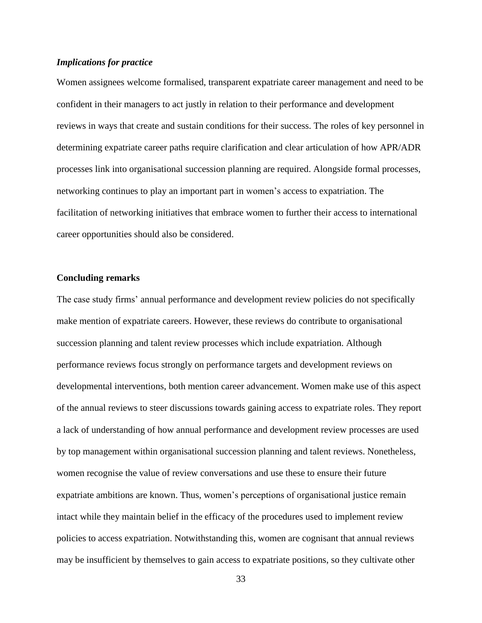#### *Implications for practice*

Women assignees welcome formalised, transparent expatriate career management and need to be confident in their managers to act justly in relation to their performance and development reviews in ways that create and sustain conditions for their success. The roles of key personnel in determining expatriate career paths require clarification and clear articulation of how APR/ADR processes link into organisational succession planning are required. Alongside formal processes, networking continues to play an important part in women's access to expatriation. The facilitation of networking initiatives that embrace women to further their access to international career opportunities should also be considered.

#### **Concluding remarks**

The case study firms' annual performance and development review policies do not specifically make mention of expatriate careers. However, these reviews do contribute to organisational succession planning and talent review processes which include expatriation. Although performance reviews focus strongly on performance targets and development reviews on developmental interventions, both mention career advancement. Women make use of this aspect of the annual reviews to steer discussions towards gaining access to expatriate roles. They report a lack of understanding of how annual performance and development review processes are used by top management within organisational succession planning and talent reviews. Nonetheless, women recognise the value of review conversations and use these to ensure their future expatriate ambitions are known. Thus, women's perceptions of organisational justice remain intact while they maintain belief in the efficacy of the procedures used to implement review policies to access expatriation. Notwithstanding this, women are cognisant that annual reviews may be insufficient by themselves to gain access to expatriate positions, so they cultivate other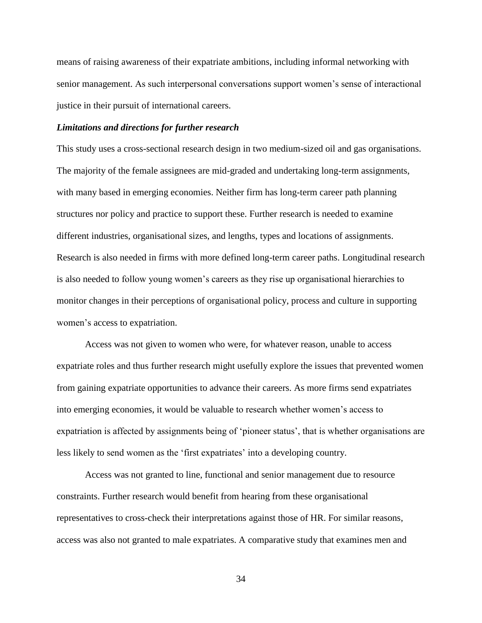means of raising awareness of their expatriate ambitions, including informal networking with senior management. As such interpersonal conversations support women's sense of interactional justice in their pursuit of international careers.

#### *Limitations and directions for further research*

This study uses a cross-sectional research design in two medium-sized oil and gas organisations. The majority of the female assignees are mid-graded and undertaking long-term assignments, with many based in emerging economies. Neither firm has long-term career path planning structures nor policy and practice to support these. Further research is needed to examine different industries, organisational sizes, and lengths, types and locations of assignments. Research is also needed in firms with more defined long-term career paths. Longitudinal research is also needed to follow young women's careers as they rise up organisational hierarchies to monitor changes in their perceptions of organisational policy, process and culture in supporting women's access to expatriation.

Access was not given to women who were, for whatever reason, unable to access expatriate roles and thus further research might usefully explore the issues that prevented women from gaining expatriate opportunities to advance their careers. As more firms send expatriates into emerging economies, it would be valuable to research whether women's access to expatriation is affected by assignments being of 'pioneer status', that is whether organisations are less likely to send women as the 'first expatriates' into a developing country.

Access was not granted to line, functional and senior management due to resource constraints. Further research would benefit from hearing from these organisational representatives to cross-check their interpretations against those of HR. For similar reasons, access was also not granted to male expatriates. A comparative study that examines men and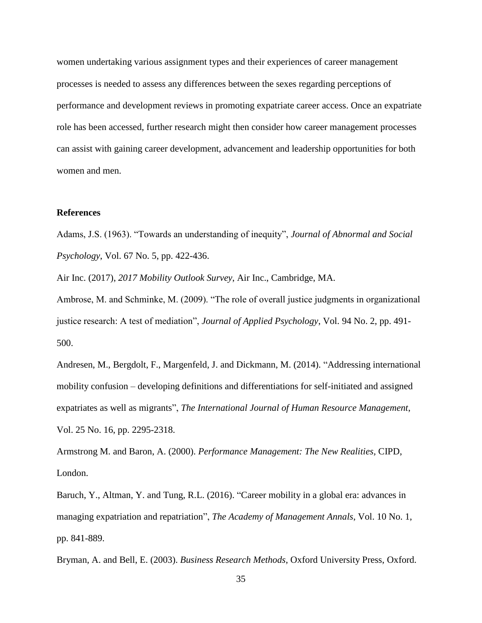women undertaking various assignment types and their experiences of career management processes is needed to assess any differences between the sexes regarding perceptions of performance and development reviews in promoting expatriate career access. Once an expatriate role has been accessed, further research might then consider how career management processes can assist with gaining career development, advancement and leadership opportunities for both women and men.

### **References**

Adams, J.S. (1963). "Towards an understanding of inequity", *Journal of Abnormal and Social Psychology*, Vol. 67 No. 5, pp. 422-436.

Air Inc. (2017), *2017 Mobility Outlook Survey*, Air Inc., Cambridge, MA.

Ambrose, M. and Schminke, M. (2009). "The role of overall justice judgments in organizational justice research: A test of mediation", *Journal of Applied Psychology*, Vol. 94 No. 2, pp. 491- 500.

Andresen, M., Bergdolt, F., Margenfeld, J. and Dickmann, M. (2014). "Addressing international mobility confusion – developing definitions and differentiations for self-initiated and assigned expatriates as well as migrants", *The International Journal of Human Resource Management*, Vol. 25 No. 16, pp. 2295-2318.

Armstrong M. and Baron, A. (2000). *Performance Management: The New Realities,* CIPD, London.

Baruch, Y., Altman, Y. and Tung, R.L. (2016). "Career mobility in a global era: advances in managing expatriation and repatriation", *The Academy of Management Annals*, Vol. 10 No. 1, pp. 841-889.

Bryman, A. and Bell, E. (2003). *Business Research Methods*, Oxford University Press, Oxford.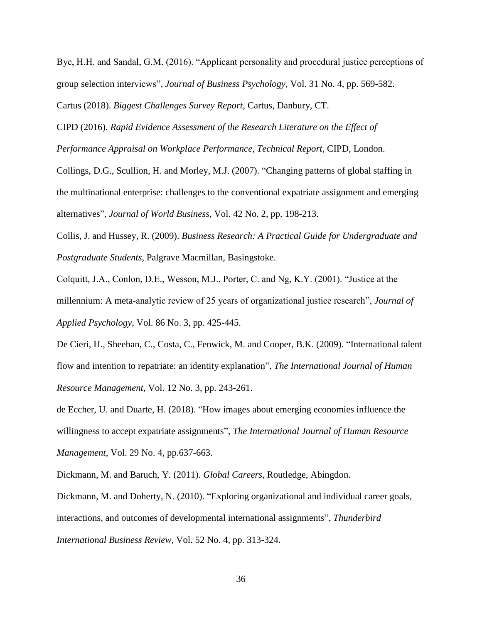Bye, H.H. and Sandal, G.M. (2016). "Applicant personality and procedural justice perceptions of group selection interviews", *Journal of Business Psychology*, Vol. 31 No. 4, pp. 569-582. Cartus (2018). *Biggest Challenges Survey Report*, Cartus, Danbury, CT.

CIPD (2016). *Rapid Evidence Assessment of the Research Literature on the Effect of Performance Appraisal on Workplace Performance*, *Technical Report*, CIPD, London.

Collings, D.G., Scullion, H. and Morley, M.J. (2007). "Changing patterns of global staffing in the multinational enterprise: challenges to the conventional expatriate assignment and emerging alternatives", *Journal of World Business*, Vol. 42 No. 2, pp. 198-213.

Collis, J. and Hussey, R. (2009). *Business Research: A Practical Guide for Undergraduate and Postgraduate Students*, Palgrave Macmillan, Basingstoke.

Colquitt, J.A., Conlon, D.E., Wesson, M.J., Porter, C. and Ng, K.Y. (2001). "Justice at the millennium: A meta-analytic review of 25 years of organizational justice research", *Journal of Applied Psychology*, Vol. 86 No. 3, pp. 425-445.

De Cieri, H., Sheehan, C., Costa, C., Fenwick, M. and Cooper, B.K. (2009). "International talent flow and intention to repatriate: an identity explanation", *The International Journal of Human Resource Management*, Vol. 12 No. 3, pp. 243-261.

de Eccher, U. and Duarte, H. (2018). "How images about emerging economies influence the willingness to accept expatriate assignments", *The International Journal of Human Resource Management*, Vol. 29 No. 4, pp.637-663.

Dickmann, M. and Baruch, Y. (2011). *Global Careers*, Routledge, Abingdon.

Dickmann, M. and Doherty, N. (2010). "Exploring organizational and individual career goals, interactions, and outcomes of developmental international assignments", *Thunderbird International Business Review*, Vol. 52 No. 4, pp. 313-324.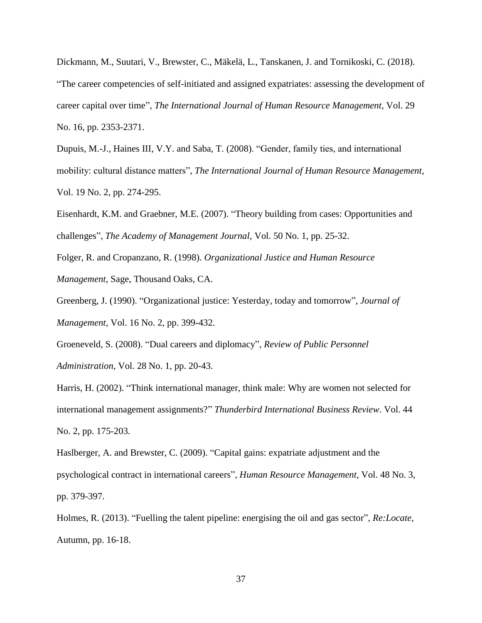Dickmann, M., Suutari, V., Brewster, C., Mäkelä, L., Tanskanen, J. and Tornikoski, C. (2018). "The career competencies of self-initiated and assigned expatriates: assessing the development of career capital over time", *The International Journal of Human Resource Management*, Vol. 29 No. 16, pp. 2353-2371.

Dupuis, M.-J., Haines III, V.Y. and Saba, T. (2008). "Gender, family ties, and international mobility: cultural distance matters", *The International Journal of Human Resource Management*, Vol. 19 No. 2, pp. 274-295.

Eisenhardt, K.M. and Graebner, M.E. (2007). "Theory building from cases: Opportunities and challenges", *The Academy of Management Journal*, Vol. 50 No. 1, pp. 25-32.

Folger, R. and Cropanzano, R. (1998). *Organizational Justice and Human Resource Management*, Sage, Thousand Oaks, CA.

Greenberg, J. (1990). "Organizational justice: Yesterday, today and tomorrow", *Journal of Management*, Vol. 16 No. 2, pp. 399-432.

Groeneveld, S. (2008). "Dual careers and diplomacy", *Review of Public Personnel Administration*, Vol. 28 No. 1, pp. 20-43.

Harris, H. (2002). "Think international manager, think male: Why are women not selected for international management assignments?" *Thunderbird International Business Review*. Vol. 44 No. 2, pp. 175-203.

Haslberger, A. and Brewster, C. (2009). "Capital gains: expatriate adjustment and the psychological contract in international careers", *Human Resource Management*, Vol. 48 No. 3, pp. 379-397.

Holmes, R. (2013). "Fuelling the talent pipeline: energising the oil and gas sector", *Re:Locate*, Autumn, pp. 16-18.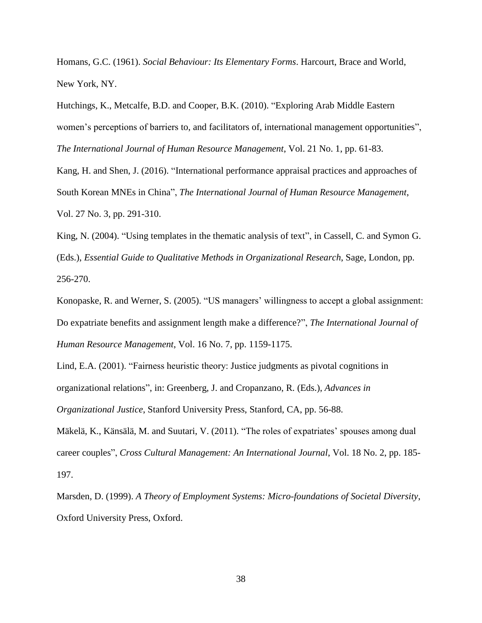Homans, G.C. (1961). *Social Behaviour: Its Elementary Forms*. Harcourt, Brace and World, New York, NY.

Hutchings, K., Metcalfe, B.D. and Cooper, B.K. (2010). "Exploring Arab Middle Eastern women's perceptions of barriers to, and facilitators of, international management opportunities", *The International Journal of Human Resource Management*, Vol. 21 No. 1, pp. 61-83.

Kang, H. and Shen, J. (2016). "International performance appraisal practices and approaches of South Korean MNEs in China", *The International Journal of Human Resource Management*, Vol. 27 No. 3, pp. 291-310.

King, N. (2004). "Using templates in the thematic analysis of text", in Cassell, C. and Symon G. (Eds.), *Essential Guide to Qualitative Methods in Organizational Research*, Sage, London, pp. 256-270.

Konopaske, R. and Werner, S. (2005). "US managers' willingness to accept a global assignment: Do expatriate benefits and assignment length make a difference?", *The International Journal of Human Resource Management*, Vol. 16 No. 7, pp. 1159-1175.

Lind, E.A. (2001). "Fairness heuristic theory: Justice judgments as pivotal cognitions in organizational relations", in: Greenberg, J. and Cropanzano, R. (Eds.), *Advances in Organizational Justice*, Stanford University Press, Stanford, CA, pp. 56-88.

Mäkelä, K., Känsälä, M. and Suutari, V. (2011). "The roles of expatriates' spouses among dual career couples", *Cross Cultural Management: An International Journal*, Vol. 18 No. 2, pp. 185- 197.

Marsden, D. (1999). *A Theory of Employment Systems: Micro-foundations of Societal Diversity*, Oxford University Press, Oxford.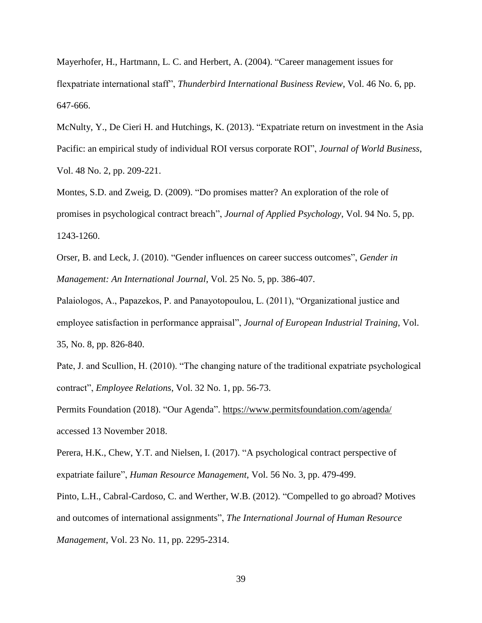Mayerhofer, H., Hartmann, L. C. and Herbert, A. (2004). "Career management issues for flexpatriate international staff", *Thunderbird International Business Review*, Vol. 46 No. 6, pp. 647-666.

McNulty, Y., De Cieri H. and Hutchings, K. (2013). "Expatriate return on investment in the Asia Pacific: an empirical study of individual ROI versus corporate ROI", *Journal of World Business*, Vol. 48 No. 2, pp. 209-221.

Montes, S.D. and Zweig, D. (2009). "Do promises matter? An exploration of the role of promises in psychological contract breach", *Journal of Applied Psychology*, Vol. 94 No. 5, pp. 1243-1260.

Orser, B. and Leck, J. (2010). "Gender influences on career success outcomes", *Gender in Management: An International Journal*, Vol. 25 No. 5, pp. 386-407.

Palaiologos, A., Papazekos, P. and Panayotopoulou, L. (2011), "Organizational justice and employee satisfaction in performance appraisal", *Journal of European Industrial Training*, Vol. 35, No. 8, pp. 826-840.

Pate, J. and Scullion, H. (2010). "The changing nature of the traditional expatriate psychological contract", *Employee Relations*, Vol. 32 No. 1, pp. 56-73.

Permits Foundation (2018). "Our Agenda".<https://www.permitsfoundation.com/agenda/> accessed 13 November 2018.

Perera, H.K., Chew, Y.T. and Nielsen, I. (2017). "A psychological contract perspective of expatriate failure", *Human Resource Management*, Vol. 56 No. 3, pp. 479-499.

Pinto, L.H., Cabral-Cardoso, C. and Werther, W.B. (2012). "Compelled to go abroad? Motives and outcomes of international assignments", *The International Journal of Human Resource Management*, Vol. 23 No. 11, pp. 2295-2314.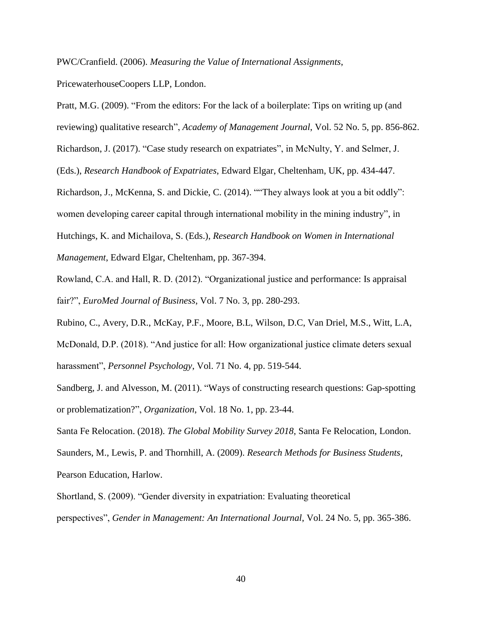PWC/Cranfield. (2006). *Measuring the Value of International Assignments*,

PricewaterhouseCoopers LLP, London.

Pratt, M.G. (2009). "From the editors: For the lack of a boilerplate: Tips on writing up (and

reviewing) qualitative research", *Academy of Management Journal*, Vol. 52 No. 5, pp. 856-862.

Richardson, J. (2017). "Case study research on expatriates", in McNulty, Y. and Selmer, J.

(Eds.), *Research Handbook of Expatriates*, Edward Elgar, Cheltenham, UK, pp. 434-447.

Richardson, J., McKenna, S. and Dickie, C. (2014). ""They always look at you a bit oddly":

women developing career capital through international mobility in the mining industry", in

Hutchings, K. and Michailova, S. (Eds.), *Research Handbook on Women in International* 

*Management*, Edward Elgar, Cheltenham, pp. 367-394.

Rowland, C.A. and Hall, R. D. (2012). "Organizational justice and performance: Is appraisal fair?", *EuroMed Journal of Business*, Vol. 7 No. 3, pp. 280-293.

Rubino, C., Avery, D.R., McKay, P.F., Moore, B.L, Wilson, D.C, Van Driel, M.S., Witt, L.A, McDonald, D.P. (2018). "And justice for all: How organizational justice climate deters sexual harassment", *Personnel Psychology*, Vol. 71 No. 4, pp. 519-544.

Sandberg, J. and Alvesson, M. (2011). "Ways of constructing research questions: Gap-spotting or problematization?", *Organization*, Vol. 18 No. 1, pp. 23-44.

Santa Fe Relocation. (2018). *The Global Mobility Survey 2018*, Santa Fe Relocation, London.

Saunders, M., Lewis, P. and Thornhill, A. (2009). *Research Methods for Business Students*, Pearson Education, Harlow.

Shortland, S. (2009). "Gender diversity in expatriation: Evaluating theoretical perspectives", *Gender in Management: An International Journal*, Vol. 24 No. 5, pp. 365-386.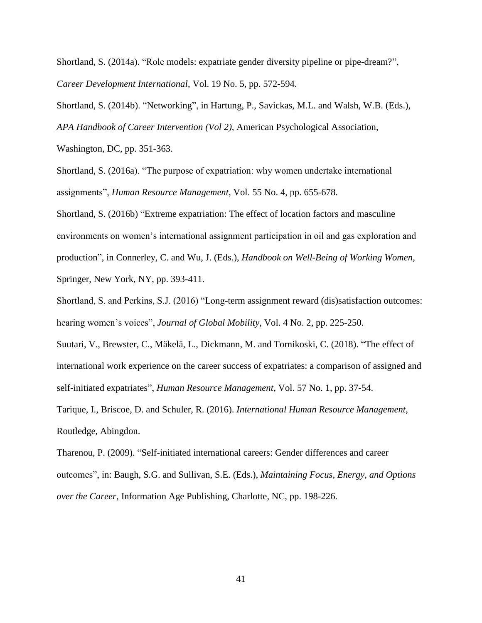Shortland, S. (2014a). "Role models: expatriate gender diversity pipeline or pipe-dream?", *Career Development International*, Vol. 19 No. 5, pp. 572-594.

Shortland, S. (2014b). "Networking", in Hartung, P., Savickas, M.L. and Walsh, W.B. (Eds.), *APA Handbook of Career Intervention (Vol 2)*, American Psychological Association,

Washington, DC, pp. 351-363.

Shortland, S. (2016a). "The purpose of expatriation: why women undertake international assignments", *Human Resource Management*, Vol. 55 No. 4, pp. 655-678.

Shortland, S. (2016b) "Extreme expatriation: The effect of location factors and masculine environments on women's international assignment participation in oil and gas exploration and production", in Connerley, C. and Wu, J. (Eds.), *Handbook on Well-Being of Working Women*, Springer, New York, NY, pp. 393-411.

Shortland, S. and Perkins, S.J. (2016) "Long-term assignment reward (dis)satisfaction outcomes: hearing women's voices", *Journal of Global Mobility*, Vol. 4 No. 2, pp. 225-250.

Suutari, V., Brewster, C., Mäkelä, L., Dickmann, M. and Tornikoski, C. (2018). "The effect of international work experience on the career success of expatriates: a comparison of assigned and self-initiated expatriates", *Human Resource Management*, Vol. 57 No. 1, pp. 37-54.

Tarique, I., Briscoe, D. and Schuler, R. (2016). *International Human Resource Management*, Routledge, Abingdon.

Tharenou, P. (2009). "Self-initiated international careers: Gender differences and career outcomes", in: Baugh, S.G. and Sullivan, S.E. (Eds.), *Maintaining Focus, Energy, and Options over the Career*, Information Age Publishing, Charlotte, NC, pp. 198-226.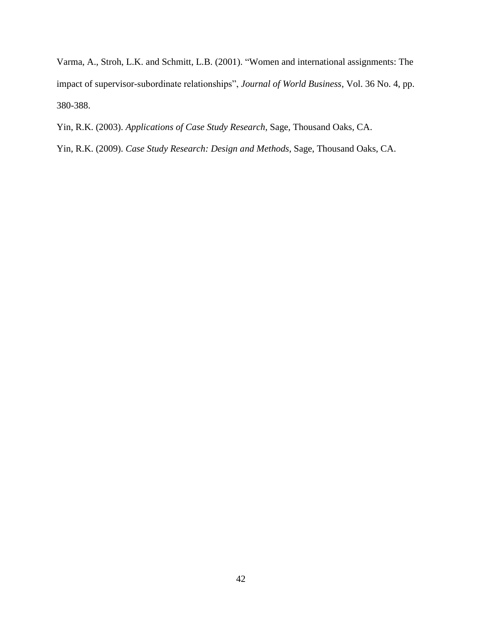Varma, A., Stroh, L.K. and Schmitt, L.B. (2001). "Women and international assignments: The impact of supervisor-subordinate relationships", *Journal of World Business*, Vol. 36 No. 4, pp. 380-388.

Yin, R.K. (2003). *Applications of Case Study Research*, Sage, Thousand Oaks, CA.

Yin, R.K. (2009). *Case Study Research: Design and Methods*, Sage, Thousand Oaks, CA.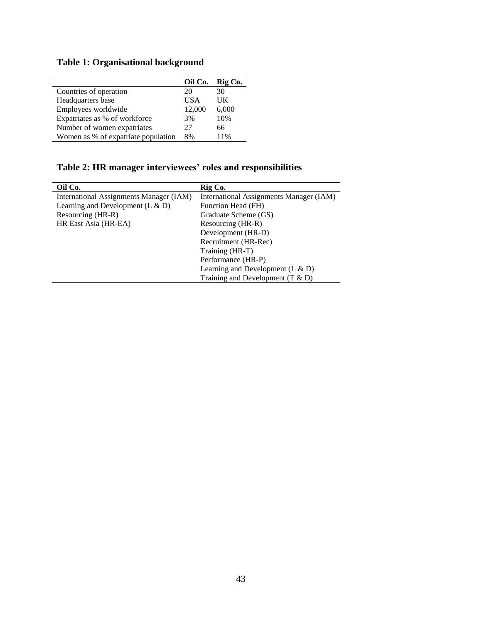# **Table 1: Organisational background**

|                                     | Oil Co.    | Rig Co. |
|-------------------------------------|------------|---------|
| Countries of operation              | 20         | 30      |
| Headquarters base                   | <b>USA</b> | UK      |
| Employees worldwide                 | 12,000     | 6,000   |
| Expatriates as % of workforce       | 3%         | 10%     |
| Number of women expatriates         | 27         | 66      |
| Women as % of expatriate population | 8%         | 11%     |

# **Table 2: HR manager interviewees' roles and responsibilities**

| Oil Co.                                 | Rig Co.                                 |
|-----------------------------------------|-----------------------------------------|
| International Assignments Manager (IAM) | International Assignments Manager (IAM) |
| Learning and Development (L $\&$ D)     | Function Head (FH)                      |
| Resourcing (HR-R)                       | Graduate Scheme (GS)                    |
| HR East Asia (HR-EA)                    | Resourcing (HR-R)                       |
|                                         | Development (HR-D)                      |
|                                         | Recruitment (HR-Rec)                    |
|                                         | Training (HR-T)                         |
|                                         | Performance (HR-P)                      |
|                                         | Learning and Development (L $\&$ D)     |
|                                         | Training and Development $(T & D)$      |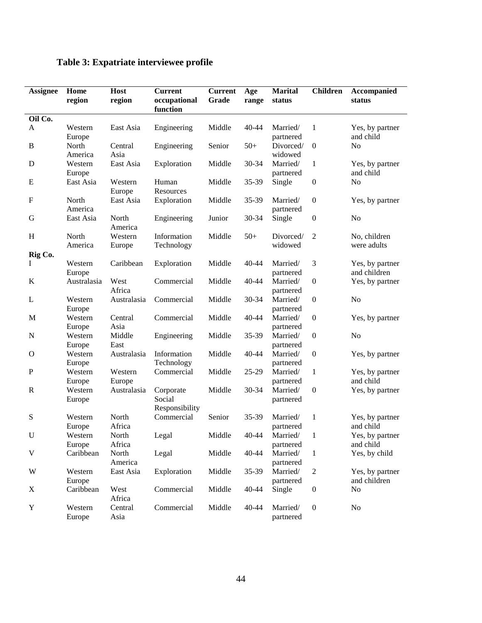| <b>Assignee</b> | Home<br>region    | Host<br>region    | <b>Current</b><br>occupational<br>function | <b>Current</b><br>Grade | Age<br>range | <b>Marital</b><br>status    | <b>Children</b>  | Accompanied<br>status           |
|-----------------|-------------------|-------------------|--------------------------------------------|-------------------------|--------------|-----------------------------|------------------|---------------------------------|
| Oil Co.         |                   |                   |                                            |                         |              |                             |                  |                                 |
| A               | Western<br>Europe | East Asia         | Engineering                                | Middle                  | 40-44        | Married/<br>partnered       | $\mathbf{1}$     | Yes, by partner<br>and child    |
| $\, {\bf B}$    | North<br>America  | Central<br>Asia   | Engineering                                | Senior                  | $50+$        | Divorced/<br>widowed        | $\boldsymbol{0}$ | N <sub>o</sub>                  |
| D               | Western<br>Europe | East Asia         | Exploration                                | Middle                  | 30-34        | Married/<br>partnered       | 1                | Yes, by partner<br>and child    |
| E               | East Asia         | Western<br>Europe | Human<br>Resources                         | Middle                  | 35-39        | Single                      | $\boldsymbol{0}$ | N <sub>o</sub>                  |
| ${\bf F}$       | North<br>America  | East Asia         | Exploration                                | Middle                  | 35-39        | Married/<br>partnered       | $\boldsymbol{0}$ | Yes, by partner                 |
| G               | East Asia         | North<br>America  | Engineering                                | Junior                  | 30-34        | Single                      | $\boldsymbol{0}$ | N <sub>o</sub>                  |
| H               | North<br>America  | Western<br>Europe | Information<br>Technology                  | Middle                  | $50+$        | Divorced/<br>widowed        | $\overline{2}$   | No, children<br>were adults     |
| Rig Co.         |                   |                   |                                            |                         |              |                             |                  |                                 |
| Ι               | Western<br>Europe | Caribbean         | Exploration                                | Middle                  | 40-44        | Married/<br>partnered       | 3                | Yes, by partner<br>and children |
| K               | Australasia       | West<br>Africa    | Commercial                                 | Middle                  | 40-44        | Married/<br>partnered       | $\boldsymbol{0}$ | Yes, by partner                 |
| L               | Western<br>Europe | Australasia       | Commercial                                 | Middle                  | 30-34        | Married/<br>partnered       | $\boldsymbol{0}$ | N <sub>o</sub>                  |
| $\mathbf M$     | Western<br>Europe | Central<br>Asia   | Commercial                                 | Middle                  | 40-44        | Married/<br>partnered       | $\boldsymbol{0}$ | Yes, by partner                 |
| ${\bf N}$       | Western<br>Europe | Middle<br>East    | Engineering                                | Middle                  | 35-39        | Married/<br>partnered       | $\boldsymbol{0}$ | N <sub>o</sub>                  |
| $\mathbf O$     | Western<br>Europe | Australasia       | Information<br>Technology                  | Middle                  | 40-44        | Married/<br>partnered       | $\boldsymbol{0}$ | Yes, by partner                 |
| ${\bf P}$       | Western<br>Europe | Western<br>Europe | Commercial                                 | Middle                  | 25-29        | Married/<br>partnered       | $\mathbf{1}$     | Yes, by partner<br>and child    |
| $\mathbf R$     | Western<br>Europe | Australasia       | Corporate<br>Social<br>Responsibility      | Middle                  | 30-34        | Married/<br>partnered       | $\boldsymbol{0}$ | Yes, by partner                 |
| S               | Western<br>Europe | North<br>Africa   | Commercial                                 | Senior                  | 35-39        | Married/<br>partnered       | 1                | Yes, by partner<br>and child    |
| $\mathbf U$     | Western<br>Europe | North<br>Africa   | Legal                                      | Middle                  |              | 40-44 Married/<br>partnered | $\mathbf{1}$     | Yes, by partner<br>and child    |
| $\mathbf V$     | Caribbean         | North<br>America  | Legal                                      | Middle                  | 40-44        | Married/<br>partnered       | $\mathbf{1}$     | Yes, by child                   |
| W               | Western<br>Europe | East Asia         | Exploration                                | Middle                  | 35-39        | Married/<br>partnered       | $\overline{2}$   | Yes, by partner<br>and children |
| X               | Caribbean         | West<br>Africa    | Commercial                                 | Middle                  | 40-44        | Single                      | $\boldsymbol{0}$ | N <sub>0</sub>                  |
| $\mathbf Y$     | Western<br>Europe | Central<br>Asia   | Commercial                                 | Middle                  | 40-44        | Married/<br>partnered       | $\boldsymbol{0}$ | N <sub>0</sub>                  |

# **Table 3: Expatriate interviewee profile**